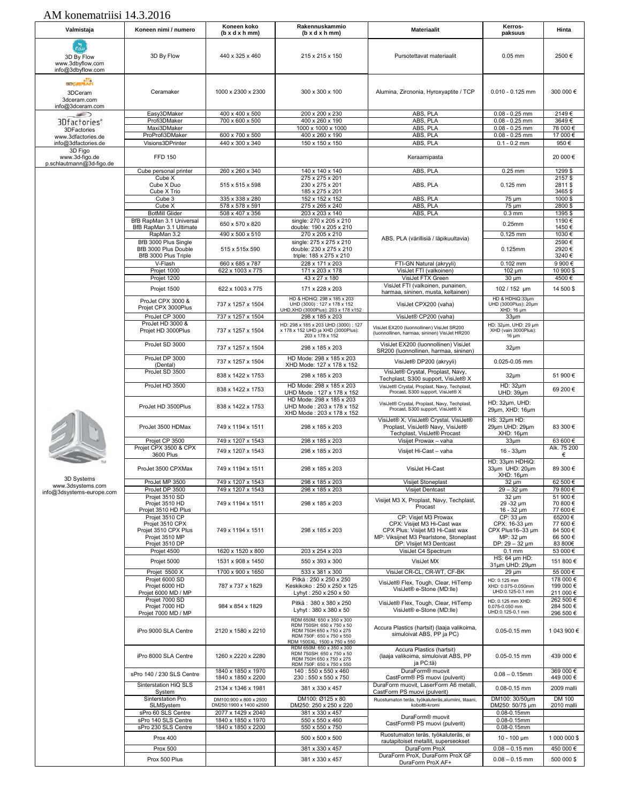| Valmistaja                                                                       | Koneen nimi / numero                                       | Koneen koko<br>(b x d x h mm)                 | Rakennuskammio<br>$(b \times d \times h \cdot m)$                                                                                               | <b>Materiaalit</b>                                                                                                          | Kerros-<br>paksuus                                                        | Hinta                              |
|----------------------------------------------------------------------------------|------------------------------------------------------------|-----------------------------------------------|-------------------------------------------------------------------------------------------------------------------------------------------------|-----------------------------------------------------------------------------------------------------------------------------|---------------------------------------------------------------------------|------------------------------------|
| ب <del>تا</del> ر<br>سمار<br>3D By Flow<br>www.3dbyflow.com<br>info@3dbyflow.com | 3D By Flow                                                 | 440 x 325 x 460                               | 215 x 215 x 150                                                                                                                                 | Pursotettavat materiaalit                                                                                                   | $0.05$ mm                                                                 | 2500€                              |
| menting<br>3DCeram<br>3dceram.com<br>info@3dceram.com                            | Ceramaker                                                  | 1000 x 2300 x 2300                            | 300 x 300 x 100                                                                                                                                 | Alumina, Zircnonia, Hyroxyaptite / TCP                                                                                      | $0.010 - 0.125$ mm                                                        | 300 000 €                          |
| ∍<br>3Dfactories®                                                                | Easy3DMaker<br>Profi3DMaker                                | 400 x 400 x 500<br>700 x 600 x 500            | 200 x 200 x 230<br>400 x 260 x 190                                                                                                              | ABS, PLA<br>ABS, PLA                                                                                                        | $0.08 - 0.25$ mm<br>$0.08 - 0.25$ mm                                      | 2149€<br>3649€                     |
| 3DFactories                                                                      | Maxi3DMaker                                                |                                               | 1000 x 1000 x 1000                                                                                                                              | ABS, PLA                                                                                                                    | $0.08 - 0.25$ mm                                                          | 78 000€                            |
| www.3dfactories.de                                                               | ProProfi3DMaker                                            | 600 x 700 x 500                               | 400 x 260 x 190                                                                                                                                 | ABS, PLA                                                                                                                    | $0.08 - 0.25$ mm                                                          | 17 000€                            |
| info@3dfactories.de<br>3D Figo                                                   | Visions3DPrinter                                           | 440 x 300 x 340                               | 150 x 150 x 150                                                                                                                                 | ABS, PLA                                                                                                                    | $0.1 - 0.2$ mm                                                            | 950€                               |
| www.3d-figo.de<br>p.schlautmann@3d-figo.de                                       | <b>FFD 150</b>                                             |                                               |                                                                                                                                                 | Keraamipasta                                                                                                                |                                                                           | 20 000€                            |
|                                                                                  | Cube personal printer<br>Cube X                            | 260 x 260 x 340                               | 140 x 140 x 140<br>275 x 275 x 201                                                                                                              | ABS, PLA                                                                                                                    | $0.25$ mm                                                                 | 1299\$<br>2157\$                   |
|                                                                                  | Cube X Duo<br>Cube X Trio                                  | 515 x 515 x 598                               | 230 x 275 x 201<br>185 x 275 x 201                                                                                                              | ABS, PLA                                                                                                                    | $0.125$ mm                                                                | 2811\$<br>3465\$                   |
|                                                                                  | Cube 3                                                     | 335 x 338 x 280                               | 152 x 152 x 152                                                                                                                                 | ABS, PLA                                                                                                                    | 75 um                                                                     | 1000\$                             |
|                                                                                  | Cube X                                                     | 578 x 578 x 591                               | 275 x 265 x 240                                                                                                                                 | ABS, PLA                                                                                                                    | $75 \mu m$                                                                | 2800\$                             |
|                                                                                  | <b>BotMill Glider</b><br>BfB RapMan 3.1 Universal          | 508 x 407 x 356                               | 203 x 203 x 140<br>single: 270 x 205 x 210                                                                                                      | ABS, PLA                                                                                                                    | $0.3$ mm                                                                  | 1395\$<br>1190€                    |
|                                                                                  | BfB RapMan 3.1 Ultimate                                    | 650 x 570 x 820                               | double: 190 x 205 x 210                                                                                                                         |                                                                                                                             | 0.25mm                                                                    | 1450€                              |
|                                                                                  | RapMan 3.2<br>BfB 3000 Plus Single                         | 490 x 500 x 510                               | 270 x 205 x 210<br>single: 275 x 275 x 210                                                                                                      | ABS, PLA (värillisiä / läpikuultavia)                                                                                       | 0.125 mm                                                                  | 1030€<br>2590€                     |
|                                                                                  | BfB 3000 Plus Double                                       | 515 x 515x 590                                | double: 230 x 275 x 210                                                                                                                         |                                                                                                                             | 0.125mm                                                                   | 2920€                              |
|                                                                                  | BfB 3000 Plus Triple<br>V-Flash                            | 660 x 685 x 787                               | triple: 185 x 275 x 210<br>228 x 171 x 203                                                                                                      | FTI-GN Natural (akryyli)                                                                                                    | $0.102$ mm                                                                | 3240€<br>9 900 €                   |
|                                                                                  | Projet 1000                                                | 622 x 1003 x 775                              | 171 x 203 x 178                                                                                                                                 | VisiJet FTI (valkoinen)                                                                                                     | $102 \mu m$                                                               | 10 900 \$                          |
|                                                                                  | Projet 1200                                                |                                               | 43 x 27 x 180                                                                                                                                   | VisiJet FTX Green<br>VisiJet FTI (valkoinen, punainen,                                                                      | $30 \mu m$                                                                | 4500€                              |
|                                                                                  | Projet 1500                                                | 622 x 1003 x 775                              | 171 x 228 x 203                                                                                                                                 | harmaa, sininen, musta, keltainen)                                                                                          | 102 / 152 µm                                                              | 14 500 \$                          |
|                                                                                  | ProJet CPX 3000 &<br>Projet CPX 3000Plus<br>ProJet CP 3000 | 737 x 1257 x 1504<br>737 x 1257 x 1504        | HD & HDHiQ: 298 x 185 x 203<br>UHD (3000): 127 x 178 x 152<br>UHD, XHD (3000Plus): 203 x 178 x152<br>298 x 185 x 203                            | VisiJet CPX200 (vaha)<br>VisiJet® CP200 (vaha)                                                                              | HD & HDHiQ:33um<br>UHD (3000Plus): 20µm<br>XHD: 16 um<br>33 <sub>µm</sub> |                                    |
|                                                                                  | ProJet HD 3000 &<br>Projet HD 3000Plus                     | 737 x 1257 x 1504                             | HD: 298 x 185 x 203 UHD (3000): 127<br>x 178 x 152 UHD ja XHD (3000Plus):<br>203 x 178 x 152                                                    | VisiJet EX200 (Iuonnollinen) VisiJet SR200<br>(luonnollinen, harmaa, sininen) VisiJet HR200                                 | HD: 32um, UHD: 29 um<br>XHD (vain 3000Plus):<br>$16 \mu m$                |                                    |
|                                                                                  | ProJet SD 3000                                             | 737 x 1257 x 1504                             | 298 x 185 x 203                                                                                                                                 | VisiJet EX200 (luonnollinen) VisiJet<br>SR200 (luonnollinen, harmaa, sininen)                                               | $32 \mu m$                                                                |                                    |
|                                                                                  | ProJet DP 3000<br>(Dental)                                 | 737 x 1257 x 1504                             | HD Mode: 298 x 185 x 203<br>XHD Mode: 127 x 178 x 152                                                                                           | VisiJet® DP200 (akryyli)                                                                                                    | 0.025-0.05 mm                                                             |                                    |
|                                                                                  | ProJet SD 3500                                             | 838 x 1422 x 1753                             | 298 x 185 x 203                                                                                                                                 | VisiJet® Crystal, Proplast, Navy,                                                                                           | 32 <sub>µ</sub> m                                                         | 51 900 €                           |
|                                                                                  | ProJet HD 3500                                             | 838 x 1422 x 1753                             | HD Mode: 298 x 185 x 203                                                                                                                        | Techplast, S300 support, VisiJet® X<br>VisiJet® Crystal, Proplast, Navy, Techplast,                                         | HD: 32µm                                                                  | 69 200 €                           |
|                                                                                  |                                                            |                                               | UHD Mode: 127 x 178 x 152<br>HD Mode: 298 x 185 x 203                                                                                           | Procast, S300 support, VisiJet® X                                                                                           | UHD: 39µm                                                                 |                                    |
|                                                                                  | ProJet HD 3500Plus                                         | 838 x 1422 x 1753                             | UHD Mode: 203 x 178 x 152<br>XHD Mode: 203 x 178 x 152                                                                                          | VisiJet® Crystal, Proplast, Navy, Techplast,<br>Procast, S300 support, VisiJet® X<br>VisiJet® X, VisiJet® Crystal, VisiJet® | HD: 32µm, UHD:<br>29µm, XHD: 16µm<br>HS: 32um HD:                         |                                    |
|                                                                                  | ProJet 3500 HDMax<br>Projet CP 3500                        | 749 x 1194 x 1511<br>749 x 1207 x 1543        | 298 x 185 x 203<br>298 x 185 x 203                                                                                                              | Proplast, VisiJet® Navy, VisiJet®<br>Techplast, VisiJet® Procast<br>Visijet Prowax - vaha                                   | 29µm UHD: 29µm<br>XHD: 16µm<br>33 <sub>µm</sub>                           | 83 300 €<br>63 600€                |
|                                                                                  | Projet CPX 3500 & CPX<br>3600 Plus                         | 749 x 1207 x 1543                             | 298 x 185 x 203                                                                                                                                 | Visilet Hi-Cast - vaha                                                                                                      | $16 - 33 \mu m$                                                           | Alk. 75 200<br>€                   |
|                                                                                  | ProJet 3500 CPXMax                                         | 749 x 1194 x 1511                             | 298 x 185 x 203                                                                                                                                 | VisiJet Hi-Cast                                                                                                             | HD: 33µm HDHiQ:<br>33um UHD: 20um<br>XHD: 16µm                            | 89 300 €                           |
| 3D Systems<br>www.3dsystems.com                                                  | ProJet MP 3500                                             | 749 x 1207 x 1543                             | 298 x 185 x 203                                                                                                                                 | Visijet Stoneplast                                                                                                          | 32 µm                                                                     | 62 500€                            |
| info@3dsystems-europe.com                                                        | ProJet DP 3500<br>Projet 3510 SD                           | 749 x 1207 x 1543                             | 298 x 185 x 203                                                                                                                                 | Visijet Dentcast                                                                                                            | $29 - 32 \mu m$<br>32 µm                                                  | 79 800 €<br>51 900 €               |
|                                                                                  | Projet 3510 HD<br>Projet 3510 HD Plus<br>Projet 3510 CP    | 749 x 1194 x 1511                             | 298 x 185 x 203                                                                                                                                 | Visijet M3 X, Proplast, Navy, Techplast,<br>Procast<br>CP: Visjet M3 Prowax                                                 | 29-32 µm<br>16 - 32 µm<br>CP: 33 µm                                       | 70 800 €<br>77 600€<br>65200€      |
|                                                                                  | Projet 3510 CPX<br>Projet 3510 CPX Plus<br>Projet 3510 MP  | 749 x 1194 x 1511                             | 298 x 185 x 203                                                                                                                                 | CPX: Visijet M3 Hi-Cast wax<br>CPX Plus: Visijet M3 Hi-Cast wax<br>MP: Viksijnet M3 Pearlstone, Stoneplast                  | CPX: 16-33 µm<br>CPX Plus16-33 um<br>MP: 32 µm                            | 77 600 €<br>84 500€<br>66 500€     |
|                                                                                  | Projet 3510 DP<br>Projet 4500                              | 1620 x 1520 x 800                             | 203 x 254 x 203                                                                                                                                 | DP: VIsijet M3 Dentcast<br>VisiJet C4 Spectrum                                                                              | DP: $29 - 32 \mu m$<br>$0.1$ mm                                           | 83 800€<br>53 000€                 |
|                                                                                  | Projet 5000                                                | 1531 x 908 x 1450                             | 550 x 393 x 300                                                                                                                                 | VisiJet MX                                                                                                                  | HS: 64 µm HD:                                                             | 151 800 €                          |
|                                                                                  | Projet 5500 X                                              | 1700 x 900 x 1650                             | 533 x 381 x 300                                                                                                                                 | VisiJet CR-CL, CR-WT, CF-BK                                                                                                 | 31um UHD: 29um<br>$29 \mu m$                                              | 55 000€                            |
|                                                                                  | Projet 6000 SD                                             |                                               | Pitkä: 250 x 250 x 250                                                                                                                          | VisiJet® Flex, Tough, Clear, HiTemp                                                                                         | HD: 0.125 mm                                                              | 178 000 €<br>199 000 €             |
|                                                                                  | Projet 6000 HD<br>Projet 6000 MD / MP                      | 787 x 737 x 1829                              | Keskikoko: 250 x 250 x 125<br>Lyhyt: 250 x 250 x 50                                                                                             | VisiJet® e-Stone (MD:lle)                                                                                                   | XHD: 0.075-0.050mm<br>UHD:0.125-0.1 mm                                    | 211 000 €                          |
|                                                                                  | Projet 7000 SD<br>Projet 7000 HD<br>Projet 7000 MD / MP    | 984 x 854 x 1829                              | Pitkä: 380 x 380 x 250<br>Lyhyt: 380 x 380 x 50                                                                                                 | VisiJet® Flex, Tough, Clear, HiTemp<br>VisiJet® e-Stone (MD:lle)                                                            | HD: 0.125 mm XHD:<br>0.075-0.050 mm<br>UHD:0.125-0.1 mm                   | 262 500 €<br>284 500 €<br>296 500€ |
|                                                                                  | iPro 9000 SLA Centre                                       | 2120 x 1580 x 2210                            | RDM 650M: 650 x 350 x 300<br>RDM 750SH: 650 x 750 x 50<br>RDM 750H 650 x 750 x 275<br>RDM 750F: 650 x 750 x 550<br>RDM 1500XL: 1500 x 750 x 550 | Accura Plastics (hartsit) (laaja valikoima,<br>simuloivat ABS, PP ja PC)                                                    | 0.05-0.15 mm                                                              | 1 043 900 €                        |
|                                                                                  | iPro 8000 SLA Centre                                       | 1260 x 2220 x 2280                            | RDM 650M: 650 x 350 x 300<br>RDM 750SH: 650 x 750 x 50<br>RDM 750H 650 x 750 x 275<br>RDM 750F: 650 x 750 x 550                                 | Accura Plastics (hartsit)<br>(laaja valikoima, simuloivat ABS, PP<br>ja PC:tä)                                              | 0.05-0.15 mm                                                              | 439 000 €                          |
|                                                                                  | sPro 140 / 230 SLS Centre                                  | 1840 x 1850 x 1970<br>1840 x 1850 x 2200      | 140: 550 x 550 x 460<br>230:550 x 550 x 750                                                                                                     | DuraForm <sup>®</sup> muovit<br>CastForm® PS muovi (pulverit)                                                               | $0.08 - 0.15$ mm                                                          | 369 000 €<br>449 000 €             |
|                                                                                  | Sinterstation HiQ SLS<br>System                            | 2134 x 1346 x 1981                            | 381 x 330 x 457                                                                                                                                 | DuraForm muovit, LaserForm A6 metalli,<br>CastForm PS muovi (pulverit)                                                      | 0.08-0.15 mm                                                              | 2009 malli                         |
|                                                                                  | Sinterstation Pro                                          | DM100:900 x 800 x 2500                        | DM100: Ø125 x 80                                                                                                                                | Ruostumaton teräs, työkaluteräs, alumiini, titaani,                                                                         | DM100: 30/50um                                                            | DM 100                             |
|                                                                                  | SLMSystem<br>sPro 60 SLS Centre                            | DM250:1900 x 1400 x2500<br>2077 x 1429 x 2040 | DM250: 250 x 250 x 220<br>381 x 330 x 457                                                                                                       | koboltti-kromi                                                                                                              | DM250: 50/75 µm<br>$0.08 - 0.15$ mm                                       | 2010 malli                         |
|                                                                                  | sPro 140 SLS Centre                                        | 1840 x 1850 x 1970                            | 550 x 550 x 460                                                                                                                                 | DuraForm <sup>®</sup> muovit<br>CastForm® PS muovi (pulverit)                                                               | $0.08 - 0.15$ mm                                                          |                                    |
|                                                                                  | sPro 230 SLS Centre                                        | 1840 x 1850 x 2200                            | 550 x 550 x 750                                                                                                                                 | Ruostumaton teräs, työkaluteräs, ei                                                                                         | $0.08 - 0.15$ mm                                                          |                                    |
|                                                                                  | Prox 400                                                   |                                               | 500 x 500 x 500                                                                                                                                 | rautapitoiset metallit, superseokset                                                                                        | 10 - 100 $\mu$ m                                                          | 1 000 000 \$                       |
|                                                                                  | <b>Prox 500</b>                                            |                                               | 381 x 330 x 457                                                                                                                                 | DuraForm ProX<br>DuraForm ProX, DuraForm ProX GF                                                                            | $0.08 - 0.15$ mm                                                          | 450 000€                           |
|                                                                                  | Prox 500 Plus                                              |                                               | 381 x 330 x 457                                                                                                                                 | DuraForm ProX AF+                                                                                                           | $0.08 - 0.15$ mm                                                          | 500 000 \$                         |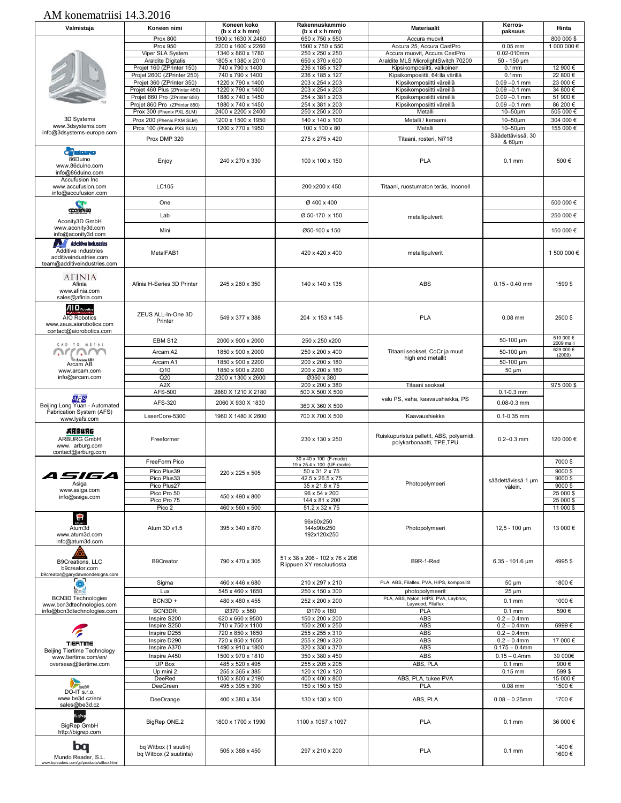| Valmistaja                                                                                                  | Koneen nimi                                                     | Koneen koko<br>$(b \times d \times h \cdot m)$ | Rakennuskammio<br>$(b \times d \times h \cdot m)$           | <b>Materiaalit</b>                                                   | Kerros-<br>paksuus                 | Hinta                  |
|-------------------------------------------------------------------------------------------------------------|-----------------------------------------------------------------|------------------------------------------------|-------------------------------------------------------------|----------------------------------------------------------------------|------------------------------------|------------------------|
|                                                                                                             | <b>Prox 800</b>                                                 | 1900 x 1630 X 2480                             | 650 x 750 x 550                                             | Accura muovit                                                        |                                    | 800 000 \$             |
|                                                                                                             | <b>Prox 950</b>                                                 | 2200 x 1600 x 2260<br>1340 x 860 x 1780        | 1500 x 750 x 550                                            | Accura 25, Accura CastPro                                            | $0.05$ mm<br>0.02-010mm            | 1 000 000 €            |
|                                                                                                             | Viper SLA System<br>Araldite Digitalis                          | 1805 x 1380 x 2010                             | 250 x 250 x 250<br>650 x 370 x 600                          | Accura muovit, Accura CastPro<br>Araldite MLS MicrolightSwitch 70200 | $50 - 150 \mu m$                   |                        |
|                                                                                                             | Projet 160 (ZPrinter 150)                                       | 740 x 790 x 1400                               | 236 x 185 x 127                                             | Kipsikomposiitti, valkoinen                                          | 0.1 <sub>mm</sub>                  | 12 900 €               |
|                                                                                                             | Projet 260C (ZPrinter 250)                                      | 740 x 790 x 1400                               | 236 x 185 x 127                                             | Kipsikomposiitti, 64:llä värillä                                     | 0.1 <sub>mm</sub>                  | 22 800 €               |
|                                                                                                             | Projet 360 (ZPrinter 350)                                       | 1220 x 790 x 1400                              | 203 x 254 x 203                                             | Kipsikomposiitti väreillä                                            | $0.09 - 0.1$ mm                    | 23 000 €               |
|                                                                                                             | Projet 460 Plus (ZPrinter 450)<br>Projet 660 Pro (ZPrinter 650) | 1220 x 790 x 1400<br>1880 x 740 x 1450         | 203 x 254 x 203<br>254 x 381 x 203                          | Kipsikomposiitti väreillä<br>Kipsikomposiitti väreillä               | $0.09 - 0.1$ mm<br>$0.09 - 0.1$ mm | 34 800 €<br>51 900 €   |
|                                                                                                             | Projet 860 Pro (ZPrinter 850)                                   | 1880 x 740 x 1450                              | 254 x 381 x 203                                             | Kipsikomposiitti väreillä                                            | $0.09 - 0.1$ mm                    | 86 200 €               |
|                                                                                                             | Prox 300 (Phenix PXL SLM)                                       | 2400 x 2200 x 2400                             | 250 x 250 x 200                                             | Metalli                                                              | $10-50 \mu m$                      | 505 000€               |
| 3D Systems                                                                                                  | Prox 200 (Phenix PXM SLM)                                       | 1200 x 1500 x 1950                             | 140 x 140 x 100                                             | Metalli / keraami                                                    | $10-50 \mu m$                      | 304 000 €              |
| www.3dsystems.com<br>info@3dsystems-europe.com                                                              | Prox 100 (Phenix PXS SLM)                                       | 1200 x 770 x 1950                              | 100 x 100 x 80                                              | Metalli                                                              | $10-50$ um                         | 155 000 €              |
|                                                                                                             | Prox DMP 320                                                    |                                                | 275 x 275 x 420                                             | Titaani, rosteri, Ni718                                              | Säädettävissä, 30<br>& 60µm        |                        |
|                                                                                                             |                                                                 |                                                |                                                             |                                                                      |                                    |                        |
| <b>C</b> <sup>2</sup> Education<br>86Duino<br>www.86duino.com<br>info@86duino.com<br>Accufusion Inc         | Enjoy                                                           | 240 x 270 x 330                                | 100 x 100 x 150                                             | <b>PLA</b>                                                           | $0.1$ mm                           | 500€                   |
| www.accufusion.com<br>info@accufusion.com                                                                   | LC105                                                           |                                                | 200 x200 x 450                                              | Titaani, ruostumaton teräs, Inconell                                 |                                    |                        |
|                                                                                                             | One                                                             |                                                | Ø 400 x 400                                                 |                                                                      |                                    | 500 000 €              |
| acontruae                                                                                                   | Lab                                                             |                                                | Ø 50-170 x 150                                              | metallipulverit                                                      |                                    | 250 000 €              |
| Aconity3D GmbH                                                                                              |                                                                 |                                                |                                                             |                                                                      |                                    |                        |
| www.aconity3d.com<br>info@aconity3d.com                                                                     | Mini                                                            |                                                | Ø50-100 x 150                                               |                                                                      |                                    | 150 000 €              |
| Adcitiva Industrias<br>Additive Industries<br>additiveindustries.com<br>team@additiveindustries.com         | MetalFAB1                                                       |                                                | 420 x 420 x 400                                             | metallipulverit                                                      |                                    | 1 500 000 €            |
| <b>AFINIA</b><br>Afinia<br>www.afinia.com<br>sales@afinia.com                                               | Afinia H-Series 3D Printer                                      | 245 x 260 x 350                                | 140 x 140 x 135                                             | ABS                                                                  | $0.15 - 0.40$ mm                   | 1599\$                 |
| $\mathbf{A}$   $\mathbf{D}$ Robotics<br>AIO Robotics<br>www.zeus.aiorobotics.com<br>contact@aiorobotics.com | ZEUS ALL-In-One 3D<br>Printer                                   | 549 x 377 x 388                                | 204 x 153 x 145                                             | <b>PLA</b>                                                           | $0.08$ mm                          | 2500\$                 |
| CAD TO METAL                                                                                                | EBM S12                                                         | 2000 x 900 x 2000                              | 250 x 250 x200                                              |                                                                      | 50-100 µm                          | 519 000€<br>2009 malli |
|                                                                                                             | Arcam A2                                                        | 1850 x 900 x 2000                              | 250 x 200 x 400                                             | Titaani seokset, CoCr ja muut                                        | 50-100 µm                          | 629 000€               |
|                                                                                                             | Arcam A1                                                        | 1850 x 900 x 2200                              | 200 x 200 x 180                                             | high end metallit                                                    | 50-100 µm                          | (2009)                 |
| Arcam AB<br>www.arcam.com                                                                                   | Q <sub>10</sub>                                                 | 1850 x 900 x 2200                              | 200 x 200 x 180                                             |                                                                      | 50 µm                              |                        |
| info@arcam.com                                                                                              | Q20                                                             | 2300 x 1300 x 2600                             | Ø350 x 380                                                  |                                                                      |                                    |                        |
|                                                                                                             | A <sub>2</sub> X                                                |                                                | 200 x 200 x 380                                             | Titaani seokset                                                      |                                    | 975 000 \$             |
| AFS                                                                                                         | AFS-500                                                         | 2860 X 1210 X 2180                             | 500 X 500 X 500                                             | valu PS, vaha, kaavaushiekka, PS                                     | $0.1 - 0.3$ mm                     |                        |
| Beijing Long Yuan - Automated                                                                               | AFS-320                                                         | 2060 X 930 X 1830                              | 360 X 360 X 500                                             |                                                                      | $0.08 - 0.3$ mm                    |                        |
| Fabrication System (AFS)<br>www.lyafs.com                                                                   | LaserCore-5300                                                  | 1960 X 1480 X 2600                             | 700 X 700 X 500                                             | Kaavaushiekka                                                        | $0.1 - 0.35$ mm                    |                        |
| ARBURG<br>ARBURG GmbH<br>www. arburg.com<br>contact@arburg.com                                              | Freeformer                                                      |                                                | 230 x 130 x 250                                             | Ruiskupuristus pelletit, ABS, polyamidi,<br>polykarbonaatti, TPE,TPU | $0.2 - 0.3$ mm                     | 120 000 €              |
|                                                                                                             | FreeForm Pico                                                   |                                                | 30 x 40 x 100 (F-mode)<br>19 x 25.4 x 100 (UF-mode)         |                                                                      |                                    | 7000 \$                |
|                                                                                                             | Pico Plus39                                                     | 220 x 225 x 505                                | 50 x 31.2 x 75                                              |                                                                      |                                    | 9000\$                 |
| 77 5                                                                                                        | Pico Plus33                                                     |                                                | 42.5 x 26.5 x 75                                            |                                                                      | säädettävissä 1 µm                 | 9000\$                 |
| Asiga<br>www.asiga.com                                                                                      | Pico Plus27                                                     |                                                | 35 x 21.8 x 75                                              | Photopolymeeri                                                       | välein.                            | 9000\$                 |
| info@asiga.com                                                                                              | Pico Pro 50                                                     | 450 x 490 x 800                                | 96 x 54 x 200                                               |                                                                      |                                    | 25 000 \$              |
|                                                                                                             | Pico Pro 75<br>Pico 2                                           | 460 x 560 x 500                                | 144 x 81 x 200<br>51.2 x 32 x 75                            |                                                                      |                                    | 25 000 \$<br>11 000 \$ |
|                                                                                                             |                                                                 |                                                |                                                             |                                                                      |                                    |                        |
| $\mathbf{P}$<br>Atum3d<br>www.atum3d.com<br>info@atum3d.com                                                 | Atum 3D v1.5                                                    | 395 x 340 x 870                                | 96x60x250<br>144x90x250<br>192x120x250                      | Photopolymeeri                                                       | $12.5 - 100 \mu m$                 | 13 000 €               |
| B9Creations, LLC<br>b9creator.com<br>b9creator@garydawsondesigns.com                                        | <b>B9Creator</b>                                                | 790 x 470 x 305                                | 51 x 38 x 206 - 102 x 76 x 206<br>Riippuen XY resoluutiosta | B9R-1-Red                                                            | $6.35 - 101.6$ µm                  | 4995\$                 |
| $\frac{1}{\frac{1}{2}}$                                                                                     | Sigma                                                           | 460 x 446 x 680                                | 210 x 297 x 210                                             | PLA, ABS, Filaflex, PVA, HIPS, komposiitit                           | 50 µm                              | 1800€                  |
| <b>BCN3D Technologies</b>                                                                                   | Lux                                                             | 545 x 460 x 1650                               | 250 x 150 x 300                                             | photopolymeerit<br>PLA, ABS, Nylon, HIPS, PVA, Laybrick,             | $25 \mu m$                         |                        |
| www.bcn3dtechnologies.com                                                                                   | BCN3D+                                                          | 480 x 480 x 455                                | 252 x 200 x 200                                             | Laywood, Filaflex                                                    | $0.1$ mm                           | 1000€                  |
| info@bcn3dtechnologies.com                                                                                  | BCN3DR                                                          | Ø370 x 560                                     | Ø170 x 180                                                  | <b>PLA</b>                                                           | $0.1$ mm                           | 590€                   |
|                                                                                                             | Inspire S200<br>Inspire S250                                    | 620 x 660 x 9500<br>710 x 750 x 1100           | 150 x 200 x 200<br>150 x 200 x 250                          | <b>ABS</b><br>ABS                                                    | $0.2 - 0.4$ mm<br>$0.2 - 0.4$ mm   | 6999€                  |
|                                                                                                             | Inspire D255                                                    | 720 x 850 x 1650                               | 255 x 255 x 310                                             | ABS                                                                  | $0.2 - 0.4$ mm                     |                        |
| <b>TIERTIME</b>                                                                                             | Inspire D290                                                    | 720 x 850 x 1650                               | 255 x 290 x 320                                             | ABS                                                                  | $0.2 - 0.4$ mm                     | 17 000€                |
| Beijing Tiertime Technology                                                                                 | Inspire A370                                                    | 1490 x 910 x 1800                              | 320 x 330 x 370                                             | ABS                                                                  | $0.175 - 0.4$ mm                   |                        |
| www.tiertime.com/en/                                                                                        | Inspire A450<br>UP Box                                          | 1500 x 970 x 1810                              | 350 x 380 x 450                                             | ABS<br>ABS, PLA                                                      | $0.15 - 0.4$ mm                    | 39 000€                |
| overseas@tiertime.com                                                                                       | Up mini 2                                                       | 485 x 520 x 495<br>255 x 365 x 385             | 255 x 205 x 205<br>120 x 120 x 120                          |                                                                      | $0.1$ mm<br>$0.15$ mm              | 900€<br>599\$          |
|                                                                                                             | DeeRed                                                          | 1050 x 800 x 2190                              | 400 x 400 x 800                                             | ABS, PLA, tukee PVA                                                  |                                    | 15 000€                |
| $\sum_{\rm in\, 20}$                                                                                        | DeeGreen                                                        | 495 x 395 x 390                                | 150 x 150 x 150                                             | PLA                                                                  | $0.08$ mm                          | 1500€                  |
| DO-IT s.r.o.<br>www.be3d.cz/en/<br>sales@be3d.cz                                                            | DeeOrange                                                       | 400 x 380 x 354                                | 130 x 130 x 100                                             | ABS, PLA                                                             | $0.08 - 0.25$ mm                   | 1700€                  |
| igPep<br><b>BigRep GmbH</b><br>http://bigrep.com                                                            | BigRep ONE.2                                                    | 1800 x 1700 x 1990                             | 1100 x 1067 x 1097                                          | <b>PLA</b>                                                           | $0.1$ mm                           | 36 000 €               |
| DO<br>Mundo Reader, S.L.<br>www.bqreaders.com/gb/products/witbox.html                                       | bq Witbox (1 suutin)<br>bq Witbox (2 suutinta)                  | 505 x 388 x 450                                | 297 x 210 x 200                                             | <b>PLA</b>                                                           | $0.1$ mm                           | 1400€<br>1600€         |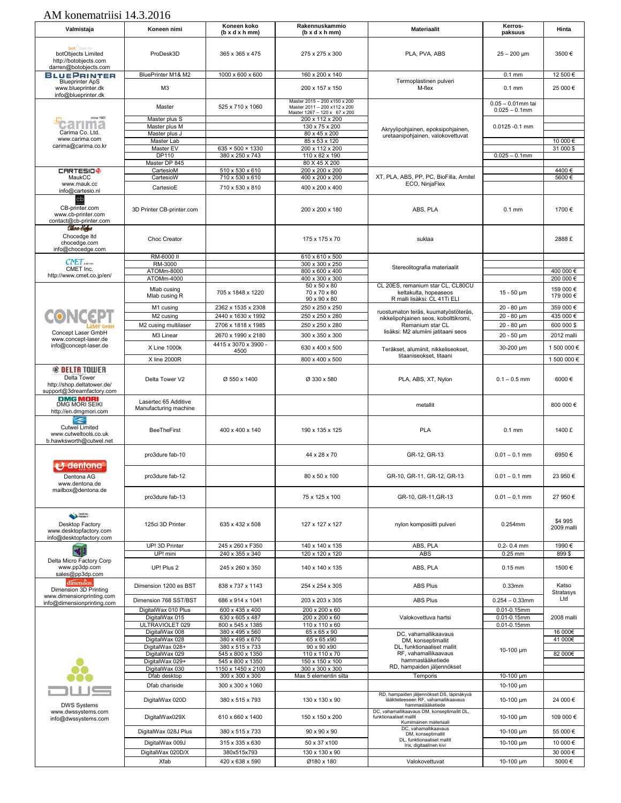| Valmistaja                                                                                     | Koneen nimi                                   | Koneen koko<br>(b x d x h mm)          | Rakennuskammio<br>$(b \times d \times h \cdot m)$            | <b>Materiaalit</b>                                                                                   | Kerros-<br>paksuus                       | Hinta                  |
|------------------------------------------------------------------------------------------------|-----------------------------------------------|----------------------------------------|--------------------------------------------------------------|------------------------------------------------------------------------------------------------------|------------------------------------------|------------------------|
|                                                                                                |                                               |                                        |                                                              |                                                                                                      |                                          |                        |
| <b>bot</b> Objects<br>botObjects Limited<br>http://botobjects.com<br>darren@botobjects.com     | ProDesk3D                                     | 365 x 365 x 475                        | 275 x 275 x 300                                              | PLA, PVA, ABS                                                                                        | $25 - 200$ µm                            | 3500€                  |
| <b>BLUEPRINTER</b>                                                                             | BluePrinter M1& M2                            | 1000 x 600 x 600                       | 160 x 200 x 140                                              |                                                                                                      | $0.1$ mm                                 | 12 500 €               |
| <b>Blueprinter ApS</b><br>www.blueprinter.dk<br>info@blueprinter.dk                            | M <sub>3</sub>                                |                                        | 200 x 157 x 150                                              | Termoplastinen pulveri<br>M-flex                                                                     | $0.1$ mm                                 | 25 000€                |
|                                                                                                | Master                                        | 525 x 710 x 1060                       | Master 2015 - 200 x150 x 200<br>Master 2011 - 200 x112 x 200 |                                                                                                      | $0.05 - 0.01$ mm tai<br>$0.025 - 0.1$ mm |                        |
| since 1983                                                                                     | Master plus S                                 |                                        | Master 1267 - 120 x 67 x 200<br>200 x 112 x 200              |                                                                                                      |                                          |                        |
|                                                                                                | Master plus M                                 |                                        | 130 x 75 x 200                                               | Akryylipohjainen, epoksipohjainen,                                                                   | $0.0125 - 0.1$ mm                        |                        |
| Carima Co. Ltd.<br>www.carima.com                                                              | Master plus J<br>Master Lab                   |                                        | 80 x 45 x 200<br>85 x 53 x 120                               | uretaanipohjainen, valokovettuvat                                                                    |                                          | 10 000 €               |
| carima@carima.co.kr                                                                            | Master EV                                     | 635 × 500 × 1330                       | 200 x 112 x 200                                              |                                                                                                      |                                          | 31 000 \$              |
|                                                                                                | DP110                                         | 380 x 250 x 743                        | $110 \times 82 \times 190$                                   |                                                                                                      | $0.025 - 0.1$ mm                         |                        |
| <b>CARTESIO<sup>®</sup></b>                                                                    | Master DP 845<br>CartesioM                    | 510 x 530 x 610                        | 80 X 45 X 200<br>200 x 200 x 200                             |                                                                                                      |                                          | 4400€                  |
| MaukCC                                                                                         | CartesioW                                     | 710 x 530 x 610                        | 400 x 200 x 200                                              | XT, PLA, ABS, PP, PC, BioFilla, Arnitel                                                              |                                          | 5600€                  |
| www.mauk.cc<br>info@cartesio.nl                                                                | CartesioE                                     | 710 x 530 x 810                        | 400 x 200 x 400                                              | ECO, NinjaFlex                                                                                       |                                          |                        |
| cb<br>CB-printer.com<br>www.cb-printer.com<br>contact@cb-printer.com                           | 3D Printer CB-printer.com                     |                                        | 200 x 200 x 180                                              | ABS, PLA                                                                                             | $0.1$ mm                                 | 1700€                  |
| Okro bege<br>Chocedge Itd<br>chocedge.com<br>info@chocedge.com                                 | Choc Creator                                  |                                        | 175 x 175 x 70                                               | suklaa                                                                                               |                                          | 2888 £                 |
| $CNET$ over the                                                                                | RM-6000 II<br>RM-3000                         |                                        | 610 x 610 x 500<br>300 x 300 x 250                           |                                                                                                      |                                          |                        |
| CMET Inc.                                                                                      | ATOMm-8000                                    |                                        | 800 x 600 x 400                                              | Stereolitografia materiaalit                                                                         |                                          | 400 000 €              |
| http://www.cmet.co.jp/en/                                                                      | ATOMm-4000                                    |                                        | 400 x 300 x 300<br>50 x 50 x 80                              |                                                                                                      |                                          | 200 000 €              |
|                                                                                                | Mlab cusing<br>Mlab cusing R                  | 705 x 1848 x 1220                      | 70 x 70 x 80<br>90 x 90 x 80                                 | CL 20ES, remanium star CL, CL80CU<br>keltakulta, hopeaseos<br>R malli lisäksi: CL 41Ti ELI           | $15 - 50 \mu m$                          | 159 000 €<br>179 000 € |
|                                                                                                | M1 cusing                                     | 2362 x 1535 x 2308                     | 250 x 250 x 250                                              |                                                                                                      | 20 - 80 µm                               | 359 000 €              |
| CONCEPT                                                                                        | M2 cusing                                     | 2440 x 1630 x 1992                     | 250 x 250 x 280                                              | ruostumaton teräs, kuumatyöstöteräs,<br>nikkelipohjainen seos, kobolttikromi,                        | 20 - 80 µm                               | 435 000 €              |
|                                                                                                | M2 cusing multilaser                          | 2706 x 1818 x 1985                     | 250 x 250 x 280                                              | Remanium star CL                                                                                     | $20 - 80 \mu m$                          | 600 000 \$             |
| Concept Laser GmbH                                                                             | M3 Linear                                     | 2670 x 1990 x 2180                     | 300 x 350 x 300                                              | lisäksi: M2 alumiini jatitaani seos                                                                  | 20 - 50 µm                               | 2012 malli             |
| www.concept-laser.de<br>info@concept-laser.de                                                  | X Line 1000k                                  | 4415 x 3070 x 3900 -                   | 630 x 400 x 500                                              |                                                                                                      | 30-200 µm                                | 1 500 000 €            |
|                                                                                                | X line 2000R                                  | 4500                                   | 800 x 400 x 500                                              | Teräkset, alumiinit, nikkeliseokset,<br>titaaniseokset, titaani                                      |                                          | 1 500 000 €            |
| <b>© DELTA TOWER</b><br>Delta Tower<br>http://shop.deltatower.de/<br>support@3dreamfactory.com | Delta Tower V2                                | Ø 550 x 1400                           | Ø 330 x 580                                                  | PLA, ABS, XT, Nylon                                                                                  | $0.1 - 0.5$ mm                           | 6000€                  |
| <b>DMG MORI</b><br>DMG MORI SEIKI<br>http://en.dmgmori.com                                     | Lasertec 65 Additive<br>Manufacturing machine |                                        |                                                              | metallit                                                                                             |                                          | 800 000 €              |
| $\frac{1}{2}$<br><b>Cutwel Limited</b><br>www.cutweltools.co.uk<br>b.hawksworth@cutwel.net     | <b>BeeTheFirst</b>                            | 400 x 400 x 140                        | 190 x 135 x 125                                              | <b>PLA</b>                                                                                           | $0.1$ mm                                 | 1400 £                 |
| dentona                                                                                        | pro3dure fab-10                               |                                        | 44 x 28 x 70                                                 | GR-12, GR-13                                                                                         | $0.01 - 0.1$ mm                          | 6950€                  |
| Dentona AG<br>www.dentona.de<br>mailbox@dentona.de                                             | pro3dure fab-12                               |                                        | 80 x 50 x 100                                                | GR-10, GR-11, GR-12, GR-13                                                                           | $0.01 - 0.1$ mm                          | 23 950 €               |
|                                                                                                | pro3dure fab-13                               |                                        | 75 x 125 x 100                                               | GR-10, GR-11, GR-13                                                                                  | $0.01 - 0.1$ mm                          | 27 950 €               |
| Desktop<br>Desktop Factory<br>www.desktopfactory.com<br>info@desktopfactory.com                | 125ci 3D Printer                              | 635 x 432 x 508                        | 127 x 127 x 127                                              | nylon komposiitti pulveri                                                                            | 0.254mm                                  | \$4 995<br>2009 malli  |
|                                                                                                | UP! 3D Printer                                | 245 x 260 x F350                       | 140 x 140 x 135                                              | ABS, PLA                                                                                             | $0.2 - 0.4$ mm                           | 1990€                  |
| Delta Micro Factory Corp                                                                       | UP! mini                                      | 240 x 355 x 340                        | 120 x 120 x 120                                              | <b>ABS</b>                                                                                           | $0.25$ mm                                | 899\$                  |
| www.pp3dp.com<br>sales@pp3dp.com                                                               | UP! Plus 2                                    | 245 x 260 x 350                        | 140 x 140 x 135                                              | ABS, PLA                                                                                             | $0.15$ mm                                | 1500€                  |
| dimension.<br><b>Dimension 3D Printing</b><br>www.dimensionprinting.com                        | Dimension 1200 es BST                         | 838 x 737 x 1143                       | 254 x 254 x 305                                              | <b>ABS Plus</b>                                                                                      | 0.33mm                                   | Katso<br>Stratasys     |
| info@dimensionprinting.com                                                                     | Dimension 768 SST/BST                         | 686 x 914 x 1041                       | 203 x 203 x 305                                              | <b>ABS Plus</b>                                                                                      | $0.254 - 0.33$ mm                        | Ltd                    |
|                                                                                                | DigitalWax 010 Plus<br>DigitalWax 015         | 600 x 435 x 400<br>630 x 605 x 487     | 200 x 200 x 60<br>200 x 200 x 60                             | Valokovettuva hartsi                                                                                 | $0.01 - 0.15$ mm<br>$0.01 - 0.15$ mm     | 2008 malli             |
|                                                                                                | ULTRAVIOLET 029                               | 800 x 545 x 1385                       | 110 x 110 x 60                                               |                                                                                                      | $0.01 - 0.15$ mm                         |                        |
|                                                                                                | DigitalWax 008                                | 380 x 495 x 560                        | 65 x 65 x 90                                                 | DC, vahamallikaavaus                                                                                 |                                          | 16 000€                |
|                                                                                                | DigitalWax 028<br>DigitalWax 028+             | 380 x 495 x 670<br>380 x 515 x 733     | 65 x 65 x 90<br>$90 \times 90 \times 90$                     | DM, konseptimallit<br>DL, funktionaaliset mallit                                                     |                                          | 41 000€                |
|                                                                                                | DigitalWax 029                                | 545 x 800 x 1350                       | 110 x 110 x 70                                               | RF, vahamallikaavaus                                                                                 | 10-100 µm                                | 82 000€                |
|                                                                                                | DigitalWax 029+<br>DigitalWax 030             | 545 x 800 x 1350<br>1150 x 1450 x 2100 | 150 x 150 x 100<br>300 x 300 x 300                           | hammaslääketiede<br>RD, hampaiden jäljennökset                                                       |                                          |                        |
|                                                                                                | Dfab desktop                                  | 300 x 300 x 300                        | Max 5 elementin silta                                        | Temporis                                                                                             | 10-100 µm                                |                        |
|                                                                                                | Dfab chariside                                | 300 x 300 x 1060                       |                                                              |                                                                                                      | 10-100 µm                                |                        |
| <b>DWS Systems</b>                                                                             | DigitalWax 020D                               | 380 x 515 x 793                        | 130 x 130 x 90                                               | RD, hampaiden jäljennökset DS, läpinäkyvä<br>lääktieteeseen RF, vahamallikaavaus<br>hammaslääketiede | 10-100 $\mu$ m                           | 24 000 €               |
| www.dwssystems.com<br>info@dwssystems.com                                                      | DigitalWax029X                                | 610 x 660 x 1400                       | 150 x 150 x 200                                              | DC, vahamallikaavaus DM, konseptimallit DL,<br>funktionaaliset mallit<br>Kumimainen materiaali       | 10-100 um                                | 109 000 €              |
|                                                                                                | DigitalWax 028J Plus                          | 380 x 515 x 733                        | 90 x 90 x 90                                                 | DC, vahamallikaavaus<br>DM, konseptimallit                                                           | 10-100 µm                                | 55 000€                |
|                                                                                                | DigitalWax 009J                               | 315 x 335 x 630                        | 50 x 37 x 100                                                | DL, funktionaaliset mallit<br>Irix, digitaalinen kivi                                                | 10-100 µm                                | 10 000 €               |
|                                                                                                | DigitalWax 020D/X                             | 380x515x793                            | 130 x 130 x 90                                               |                                                                                                      |                                          | 30 000€                |
|                                                                                                | Xfab                                          | 420 x 638 x 590                        | Ø180 x 180                                                   | Valokovettuvat                                                                                       | 10-100 µm                                | 5000€                  |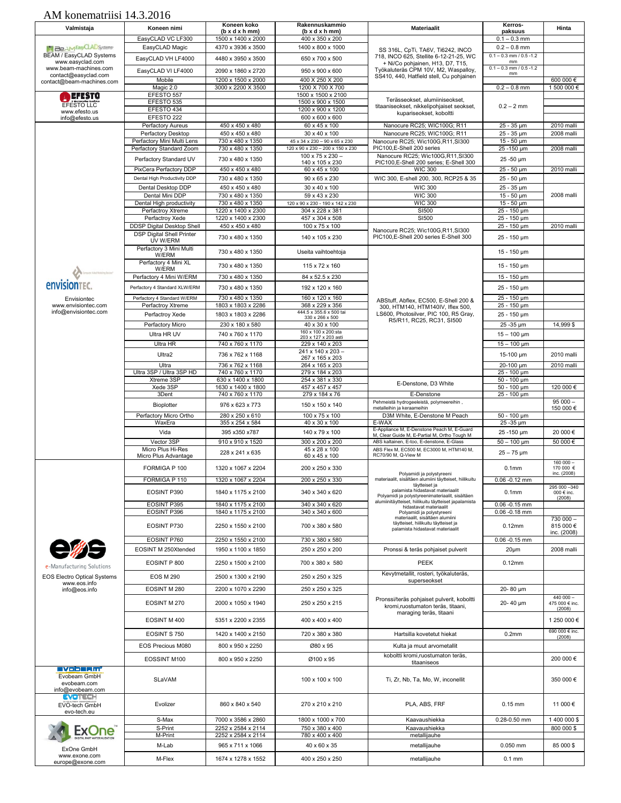| Valmistaja                                                          | Koneen nimi                                   | Koneen koko<br>$(b \times d \times h \cdot m)$ | Rakennuskammio<br>$(b \times d \times h \cdot m)$    | <b>Materiaalit</b>                                                                                   | Kerros-<br>paksuus                          | Hinta                        |
|---------------------------------------------------------------------|-----------------------------------------------|------------------------------------------------|------------------------------------------------------|------------------------------------------------------------------------------------------------------|---------------------------------------------|------------------------------|
|                                                                     | EasyCLAD VC LF300                             | 1500 x 1400 x 2000                             | 400 x 350 x 200                                      |                                                                                                      | $0.1 - 0.3$ mm                              |                              |
| <b>MI BEAM EASYCLAD Systems</b><br><b>BEAM / EasyCLAD Systems</b>   | EasyCLAD Magic                                | 4370 x 3936 x 3500                             | 1400 x 800 x 1000                                    | SS 316L, CpTi, TA6V, Ti6242, INCO                                                                    | $0.2 - 0.8$ mm<br>$0.1 - 0.3$ mm / 0.5 -1.2 |                              |
| www.easyclad.com                                                    | EasyCLAD VH LF4000                            | 4480 x 3950 x 3500                             | 650 x 700 x 500                                      | 718, INCO 625, Stellite 6-12-21-25, WC<br>+ Ni/Co pohjainen, H13, D7, T15,                           | mm                                          |                              |
| www.beam-machines.com<br>contact@easyclad.com                       | EasyCLAD VI LF4000                            | 2090 x 1860 x 2720                             | 950 x 900 x 600                                      | Työkaluteräs CPM 10V, M2, Waspalloy,                                                                 | $0.1 - 0.3$ mm / 0.5 -1.2<br>mm             |                              |
| contact@beam-machines.com                                           | Mobile                                        | 1200 x 1500 x 2000                             | 400 X 250 X 200                                      | SS410, 440, Hatfield stell, Cu pohjainen                                                             |                                             | 600 000 €                    |
|                                                                     | Magic 2.0<br>EFESTO 557                       | 3000 x 2200 X 3500                             | 1200 X 700 X 700<br>1500 x 1500 x 2100               |                                                                                                      | $0.2 - 0.8$ mm                              | 1 500 000 €                  |
| EFESTO<br>EFESTO LLC                                                | EFESTO 535                                    |                                                | 1500 x 900 x 1500                                    | Terässeokset, alumiiniseokset,                                                                       |                                             |                              |
| www.efesto.us                                                       | EFESTO 434                                    |                                                | 1200 x 900 x 1200                                    | titaaniseokset, nikkelipohjaiset seokset,<br>kupariseokset, koboltti                                 | $0.2 - 2$ mm                                |                              |
| info@efesto.us                                                      | EFESTO 222<br>Perfactory Aureus               | 450 x 450 x 480                                | 600 x 600 x 600<br>60 x 45 x 100                     | Nanocure RC25; WIC100G; R11                                                                          | 25 - 35 um                                  | 2010 malli                   |
|                                                                     | Perfactory Desktop                            | 450 x 450 x 480                                | 30 x 40 x 100                                        | Nanocure RC25; WIC100G; R11                                                                          | 25 - 35 µm                                  | 2008 malli                   |
|                                                                     | Perfactory Mini Multi Lens                    | 730 x 480 x 1350                               | 45 x 34 x 230 - 90 x 65 x 230                        | Nanocure RC25; Wic100G,R11,SI300                                                                     | $15 - 50 \mu m$                             |                              |
|                                                                     | Perfactory Standard Zoom                      | 730 x 480 x 1350                               | 120 x 90 x 230 - 200 x 150 x 230<br>100 x 75 x 230 - | PIC100,E-Shell 200 series<br>Nanocure RC25; Wic100G,R11,SI300                                        | 25 - 150 µm                                 | 2008 malli                   |
|                                                                     | Perfactory Standard UV                        | 730 x 480 x 1350                               | 140 x 105 x 230                                      | PIC100, E-Shell 200 series; E-Shell 300                                                              | 25 -50 µm                                   |                              |
|                                                                     | PixCera Perfactory DDP                        | 450 x 450 x 480                                | 60 x 45 x 100                                        | <b>WIC 300</b>                                                                                       | 25 - 50 µm                                  | 2010 malli                   |
|                                                                     | Dental High Productivity DDP                  | 730 x 480 x 1350<br>450 x 450 x 480            | 90 x 65 x 230                                        | WIC 300, E-shell 200, 300, RCP25 & 35<br><b>WIC 300</b>                                              | 25 - 50 µm                                  |                              |
|                                                                     | Dental Desktop DDP<br>Dental Mini DDP         | 730 x 480 x 1350                               | 30 x 40 x 100<br>59 x 43 x 230                       | <b>WIC 300</b>                                                                                       | 25 - 35 µm<br>$15 - 50 \mu m$               | 2008 malli                   |
|                                                                     | Dental High productivity                      | 730 x 480 x 1350                               | 120 x 90 x 230 - 190 x 142 x 230                     | <b>WIC 300</b>                                                                                       | $15 - 50 \mu m$                             |                              |
|                                                                     | Perfactroy Xtreme                             | 1220 x 1400 x 2300                             | 304 x 228 x 381                                      | SI500                                                                                                | 25 - 150 µm                                 |                              |
|                                                                     | Perfactroy Xede<br>DDSP Digital Desktop Shell | 1220 x 1400 x 2300<br>450 x 450 x 480          | 457 x 304 x 508<br>100 x 75 x 100                    | SI500                                                                                                | 25 - 150 µm<br>25 - 150 µm                  | 2010 malli                   |
|                                                                     | <b>DSP Digital Shell Printer</b>              | 730 x 480 x 1350                               | 140 x 105 x 230                                      | Nanocure RC25; Wic100G,R11,SI300<br>PIC100,E-Shell 200 series E-Shell 300                            | 25 - 150 µm                                 |                              |
|                                                                     | UV W/ERM<br>Perfactory 3 Mini Multi           |                                                |                                                      |                                                                                                      |                                             |                              |
|                                                                     | W/ERM                                         | 730 x 480 x 1350                               | Useita vaihtoehtoja                                  |                                                                                                      | 15 - 150 µm                                 |                              |
|                                                                     | Perfactory 4 Mini XL<br>W/ERM                 | 730 x 480 x 1350                               | 115 x 72 x 160                                       |                                                                                                      | 15 - 150 um                                 |                              |
|                                                                     | Perfactory 4 Mini W/ERM                       | 730 x 480 x 1350                               | 84 x 52.5 x 230                                      |                                                                                                      | 15 - 150 µm                                 |                              |
| <b><i><u>ENVISIONTEC</u></i></b>                                    | Perfactory 4 Standard XLW/ERM                 | 730 x 480 x 1350                               | 192 x 120 x 160                                      |                                                                                                      | 25 - 150 µm                                 |                              |
| Envisiontec                                                         | Perfactory 4 Standard W/ERM                   | 730 x 480 x 1350                               | 160 x 120 x 160                                      | ABStuff, Abflex, EC500, E-Shell 200 &                                                                | 25 - 150 µm                                 |                              |
| www.envisiontec.com<br>info@envisiontec.com                         | Perfactroy Xtreme                             | 1803 x 1803 x 2286                             | 368 x 229 x 356<br>444.5 x 355.6 x 500 tai           | 300. HTM140. HTM140IV. Iflex 500.                                                                    | $25 - 150 \mu m$                            |                              |
|                                                                     | Perfactroy Xede                               | 1803 x 1803 x 2286                             | 330 x 266 x 500                                      | LS600, Photosilver, PIC 100, R5 Gray,<br>R5/R11, RC25, RC31, SI500                                   | 25 - 150 µm                                 |                              |
|                                                                     | Perfactory Micro                              | 230 x 180 x 580                                | 40 x 30 x 100<br>160 x 100 x 200:sta                 |                                                                                                      | 25 - 35 µm                                  | 14,999\$                     |
|                                                                     | Ultra HR UV<br><b>Ultra HR</b>                | 740 x 760 x 1170<br>740 x 760 x 1170           | 203 x 127 x 203 asti<br>229 x 140 x 203              |                                                                                                      | $15 - 100$ µm<br>$15 - 100$ µm              |                              |
|                                                                     | Ultra2                                        |                                                | 241 x 140 x 203 -                                    |                                                                                                      |                                             | 2010 malli                   |
|                                                                     | Ultra                                         | 736 x 762 x 1168                               | 267 x 165 x 203                                      |                                                                                                      | 15-100 µm                                   |                              |
|                                                                     | Ultra 3SP / Ultra 3SP HD                      | 736 x 762 x 1168<br>740 x 760 x 1170           | 264 x 165 x 203<br>279 x 184 x 203                   |                                                                                                      | 20-100 µm<br>25 - 100 µm                    | 2010 malli                   |
|                                                                     | Xtreme 3SP                                    | 630 x 1400 x 1800                              | 254 x 381 x 330                                      | E-Denstone, D3 White                                                                                 | $50 - 100 \mu m$                            |                              |
|                                                                     | Xede 3SP<br>3Dent                             | 1630 x 1400 x 1800<br>740 x 760 x 1170         | 457 x 457 x 457<br>279 x 184 x 76                    | E-Denstone                                                                                           | $50 - 100 \mu m$<br>25 - 100 um             | 120 000 €                    |
|                                                                     | Bioplotter                                    | 976 x 623 x 773                                | 150 x 150 x 140                                      | Pehmeistä hydrogeeleistä, polymeereihin,<br>metalleihin ja keraameihin                               |                                             | $95000 -$                    |
|                                                                     | Perfactory Micro Ortho                        | 280 x 250 x 610                                | 100 x 75 x 100                                       | D3M White, E-Denstone M Peach                                                                        | $50 - 100 \mu m$                            | 150 000 €                    |
|                                                                     | WaxEra                                        | 355 x 254 x 584                                | $40 \times 30 \times 100$                            | E-WAX<br>E-Appliance M, E-Denstone Peach M, E-Guard                                                  | 25 - 35 µm                                  |                              |
|                                                                     | Vida                                          | 395 x350 x787                                  | 140 x 79 x 100                                       | M, Clear Guide M, E-Partial M, Ortho Tough M                                                         | 25-150 um                                   | 20 000€                      |
|                                                                     | Vector 3SP<br>Micro Plus Hi-Res               | 910 x 910 x 1520                               | 300 x 200 x 200<br>45 x 28 x 100                     | ABS kaltainen, E-too, E-denstone, E-Glass<br>ABS Flex M, EC500 M, EC3000 M, HTM140 M,                | $50 - 100 \mu m$                            | 50 000€                      |
|                                                                     | Micro Plus Advantage                          | 228 x 241 x 635                                | 60 x 45 x 100                                        | RC70/90 M, Q-View M                                                                                  | $25 - 75 \mu m$                             | $160000 -$                   |
|                                                                     | FORMIGA P 100                                 | 1320 x 1067 x 2204                             | 200 x 250 x 330                                      |                                                                                                      | 0.1 <sub>mm</sub>                           | 170 000 €<br>inc. (2008)     |
|                                                                     | FORMIGA P 110                                 | 1320 x 1067 x 2204                             | 200 x 250 x 330                                      | Polyamidi ja polystyreeni<br>materiaalit, sisältäen alumiini täytteiset, hiilikuitu                  | 0.06 -0.12 mm                               |                              |
|                                                                     | EOSINT P390                                   | 1840 x 1175 x 2100                             | 340 x 340 x 620                                      | täytteiset ja<br>palamista hidastavat materiaalit<br>Polyamidi ja polystyreenimateriaalit, sisältäen | 0.1 <sub>mm</sub>                           | 295 000 - 340<br>000 € inc.  |
|                                                                     | EOSINT P395                                   | 1840 x 1175 x 2100                             | 340 x 340 x 620                                      | alumiinitäytteiset, hiilikuitu täytteiset japalamista<br>hidastavat materiaalit                      | $0.06 - 0.15$ mm                            | (2008)                       |
|                                                                     | EOSINT P396                                   | 1840 x 1175 x 2100                             | 340 x 340 x 600                                      | Polyamidi ja polystyreeni<br>materiaalit, sisältäen alumiini                                         | $0.06 - 0.18$ mm                            | 730 000 -                    |
|                                                                     | EOSINT P730                                   | 2250 x 1550 x 2100                             | 700 x 380 x 580                                      | täytteiset, hiilikuitu täytteiset ja                                                                 | $0.12$ mm                                   | 815 000 €                    |
|                                                                     | EOSINT P760                                   | 2250 x 1550 x 2100                             | 730 x 380 x 580                                      | palamista hidastavat materiaalit                                                                     |                                             | inc. (2008)                  |
|                                                                     | EOSINT M 250Xtended                           | 1950 x 1100 x 1850                             | 250 x 250 x 200                                      | Pronssi & teräs pohjaiset pulverit                                                                   | $0.06 - 0.15$ mm<br>$20 \mu m$              | 2008 malli                   |
|                                                                     |                                               |                                                |                                                      |                                                                                                      |                                             |                              |
| e-Manufacturing Solutions                                           | EOSINT P 800                                  | 2250 x 1500 x 2100                             | 700 x 380 x 580                                      | PEEK                                                                                                 | $0.12$ mm                                   |                              |
| <b>EOS Electro Optical Systems</b><br>www.eos.info                  | <b>EOS M 290</b>                              | 2500 x 1300 x 2190                             | 250 x 250 x 325                                      | Kevytmetallit, rosteri, työkaluteräs,<br>superseokset                                                |                                             |                              |
| info@eos.info                                                       | EOSINT M 280                                  | 2200 x 1070 x 2290                             | 250 x 250 x 325                                      |                                                                                                      | 20-80 µm                                    |                              |
|                                                                     | EOSINT M 270                                  | 2000 x 1050 x 1940                             | 250 x 250 x 215                                      | Pronssi/teräs pohjaiset pulverit, koboltti<br>kromi, ruostumaton teräs, titaani.                     | 20-40 um                                    | $440000 -$<br>475 000 € inc. |
|                                                                     | EOSINT M 400                                  | 5351 x 2200 x 2355                             | 400 x 400 x 400                                      | maraging teräs, titaani                                                                              |                                             | (2008)<br>1 250 000 €        |
|                                                                     |                                               |                                                |                                                      |                                                                                                      |                                             | 690 000 € inc.               |
|                                                                     | EOSINT S 750                                  | 1420 x 1400 x 2150                             | 720 x 380 x 380                                      | Hartsilla kovetetut hiekat                                                                           | 0.2 <sub>mm</sub>                           | (2008)                       |
|                                                                     | EOS Precious M080                             | 800 x 950 x 2250                               | Ø80 x 95                                             | Kulta ja muut arvometallit                                                                           |                                             |                              |
|                                                                     | EOSSINT M100                                  | 800 x 950 x 2250                               | Ø100 x 95                                            | koboltti kromi, ruostumaton teräs,<br>titaaniseos                                                    |                                             | 200 000 €                    |
| <b>EVODERITY</b><br>Evobeam GmbH<br>evobeam.com<br>info@evobeam.com | SLaVAM                                        |                                                | 100 x 100 x 100                                      | Ti, Zr, Nb, Ta, Mo, W, inconellit                                                                    |                                             | 350 000 €                    |
| EVOTECH<br>EVO-tech GmbH<br>evo-tech.eu                             | Evolizer                                      | 860 x 840 x 540                                | 270 x 210 x 210                                      | PLA, ABS, FRF                                                                                        | $0.15$ mm                                   | 11 000 €                     |
|                                                                     | S-Max                                         | 7000 x 3586 x 2860                             | 1800 x 1000 x 700                                    | Kaavaushiekka                                                                                        | 0.28-0.50 mm                                | 1400 000 \$                  |
| EXONE                                                               | S-Print                                       | 2252 x 2584 x 2114                             | 750 x 380 x 400                                      | Kaavaushiekka                                                                                        |                                             | 800 000 \$                   |
|                                                                     | M-Print                                       | 2252 x 2584 x 2114                             | 780 x 400 x 400                                      | metallijauhe                                                                                         |                                             |                              |
| ExOne GmbH                                                          | M-Lab                                         | 965 x 711 x 1066                               | 40 x 60 x 35                                         | metallijauhe                                                                                         | 0.050 mm                                    | 85 000 \$                    |
| www.exone.com<br>europe@exone.com                                   | M-Flex                                        | 1674 x 1278 x 1552                             | 400 x 250 x 250                                      | metallijauhe                                                                                         | $0.1$ mm                                    |                              |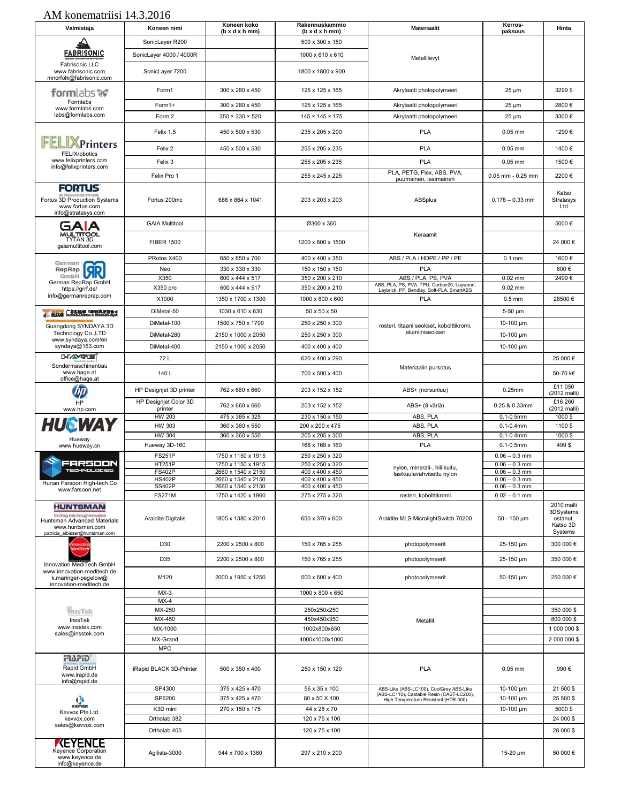| Valmistaja                                                                                                                                       | Koneen nimi                      | Koneen koko<br>$(b \times d \times h \cdot m)$ | Rakennuskammio<br>$(b \times d \times h \cdot m)$ | <b>Materiaalit</b>                                                                   | Kerros-<br>paksuus                 | Hinta                                                      |
|--------------------------------------------------------------------------------------------------------------------------------------------------|----------------------------------|------------------------------------------------|---------------------------------------------------|--------------------------------------------------------------------------------------|------------------------------------|------------------------------------------------------------|
|                                                                                                                                                  | SonicLayer R200                  |                                                | 500 x 300 x 150                                   |                                                                                      |                                    |                                                            |
| <b>FABRISONIC</b>                                                                                                                                | SonicLayer 4000 / 4000R          |                                                | 1000 x 610 x 610                                  | Metallilevvt                                                                         |                                    |                                                            |
| Fabrisonic LLC<br>www.fabrisonic.com<br>mnorfolk@fabrisonic.com                                                                                  | SonicLayer 7200                  |                                                | 1800 x 1800 x 900                                 |                                                                                      |                                    |                                                            |
| formlabs <b>w</b>                                                                                                                                | Form1                            | 300 x 280 x 450                                | 125 x 125 x 165                                   | Akrylaatti photopolymeeri                                                            | $25 \mu m$                         | 3299 \$                                                    |
| Formlabs<br>www.formlabs.com                                                                                                                     | Form1+                           | 300 x 280 x 450                                | 125 x 125 x 165                                   | Akrylaatti photopolymeeri                                                            | $25 \mu m$                         | 2800€                                                      |
| labs@formlabs.com                                                                                                                                | Form 2                           | $350 \times 330 \times 520$                    | $145 \times 145 \times 175$                       | Akrylaatti photopolymeeri                                                            | $25 \mu m$                         | 3300€                                                      |
| <b>FFLIXPrinters</b>                                                                                                                             | Felix 1.5                        | 450 x 500 x 530                                | 235 x 205 x 200                                   | <b>PLA</b>                                                                           | $0.05$ mm                          | 1299€                                                      |
| FELIXrobotics                                                                                                                                    | Felix 2                          | 450 x 500 x 530                                | 255 x 205 x 235                                   | <b>PLA</b>                                                                           | $0.05$ mm                          | 1400€                                                      |
| www.felixprinters.com<br>info@felixprinters.com                                                                                                  | Felix 3                          |                                                | 255 x 205 x 235                                   | <b>PLA</b>                                                                           | $0.05$ mm                          | 1500€                                                      |
|                                                                                                                                                  | Felix Pro 1                      |                                                | 255 x 245 x 225                                   | PLA, PETG, Flex, ABS, PVA,<br>puumainen, lasimainen                                  | $0.05$ mm - $0.25$ mm              | 2200€                                                      |
| <b>FORTUS</b><br>Fortus 3D Production Systems<br>www.fortus.com<br>info@stratasys.com                                                            | Fortus 200mc                     | 686 x 864 x 1041                               | 203 x 203 x 203                                   | ABSplus                                                                              | $0.178 - 0.33$ mm                  | Katso<br>Stratasys<br>Ltd                                  |
|                                                                                                                                                  | <b>GAIA Multitool</b>            |                                                | Ø300 x 360                                        |                                                                                      |                                    | 5000€                                                      |
| MULTITOOL<br>TYTAN 3D<br>gaiamultitool.com                                                                                                       | <b>FIBER 1500</b>                |                                                | 1200 x 800 x 1500                                 | Keraamit                                                                             |                                    | 24 000 €                                                   |
|                                                                                                                                                  | PRotos X400                      | 650 x 650 x 700                                | 400 x 400 x 350                                   | ABS / PLA / HDPE / PP / PE                                                           | $0.1$ mm                           | 1600€                                                      |
| German<br>RepRap<br>$\blacksquare$                                                                                                               | Neo                              | 330 x 330 x 330                                | 150 x 150 x 150                                   | <b>PLA</b>                                                                           |                                    | 600€                                                       |
| GmbH V<br>German RepRap GmbH                                                                                                                     | X350                             | 600 x 444 x 517                                | 350 x 200 x 210                                   | ABS / PLA, PS, PVA<br>ABS, PLA, PS, PVA, TPU, Carbon20, Laywood,                     | $0.02$ mm                          | 2499€                                                      |
| https://grrf.de/<br>info@germanreprap.com                                                                                                        | X350 pro                         | 600 x 444 x 517                                | 350 x 200 x 210                                   | Laybrick, PP, Bendlay, Soft-PLA, SmartABS                                            | $0.02$ mm                          |                                                            |
|                                                                                                                                                  | X1000                            | 1350 x 1700 x 1300                             | 1000 x 800 x 600                                  | <b>PLA</b>                                                                           | $0.5$ mm                           | 28500€                                                     |
| 广东俗称德 公布管抗管膜角 of<br>● 微誤素                                                                                                                        | DiMetal-50                       | 1030 x 610 x 630                               | 50 x 50 x 50                                      |                                                                                      | 5-50 µm                            |                                                            |
| Guangdong SYNDAYA 3D                                                                                                                             | DiMetal-100                      | 1500 x 750 x 1700                              | 250 x 250 x 300                                   | rosteri, titaani seokset, kobolttikromi,<br>alumiiniseokset                          | 10-100 µm                          |                                                            |
| Technology Co., LTD<br>www.syndaya.com/en                                                                                                        | DiMetal-280                      | 2150 x 1000 x 2050                             | 250 x 250 x 300                                   |                                                                                      | 10-100 µm                          |                                                            |
| syndaya@163.com                                                                                                                                  | DiMetal-400                      | 2150 x 1000 x 2050                             | 400 x 400 x 400                                   |                                                                                      | 10-100 µm                          |                                                            |
| <b>DIAMPER</b><br>Sondermaschinenbau                                                                                                             | 72 L                             |                                                | 620 x 400 x 290                                   | Materiaalin pursotus                                                                 |                                    | 25 000€                                                    |
| www.hage.at<br>office@hage.at                                                                                                                    | 140 L                            |                                                | 700 x 500 x 400                                   |                                                                                      |                                    | 50-70 k€<br>£11 050                                        |
|                                                                                                                                                  | HP Designjet 3D printer          | 762 x 660 x 660                                | 203 x 152 x 152                                   | ABS+ (norsunluu)                                                                     | $0.25$ mm                          | (2012 malli)                                               |
| HP<br>www.hp.com                                                                                                                                 | HP Designjet Color 3D<br>printer | 762 x 660 x 660                                | 203 x 152 x 152                                   | ABS+ (8 väriä)                                                                       | 0.25 & 0.33mm                      | £16 260<br>(2012 malli)                                    |
|                                                                                                                                                  | HW 203                           | 475 x 385 x 325                                | 230 x 150 x 150                                   | ABS, PLA                                                                             | $0.1 - 0.5$ mm                     | 1000\$                                                     |
| <b>HUSWAY</b>                                                                                                                                    | HW 303                           | 360 x 360 x 550                                | 200 x 200 x 475                                   | ABS, PLA                                                                             | $0.1 - 0.4$ mm                     | 1100\$                                                     |
| Hueway<br>www.hueway.cn                                                                                                                          | <b>HW 304</b><br>Hueway 3D-160   | 360 x 360 x 550                                | 205 x 205 x 300<br>168 x 168 x 160                | ABS, PLA<br><b>PLA</b>                                                               | $0.1 - 0.4$ mm<br>$0.1 - 0.5$ mm   | 1000\$<br>499\$                                            |
|                                                                                                                                                  | <b>FS251P</b>                    | 1750 x 1150 x 1915                             | 250 x 250 x 320                                   |                                                                                      | $0.06 - 0.3$ mm                    |                                                            |
| FARSOON                                                                                                                                          | <b>HT251P</b>                    | 1750 x 1150 x 1915                             | 250 x 250 x 320                                   | nylon, minerali-, hiilikuitu,                                                        | $0.06 - 0.3$ mm                    |                                                            |
| <b>TECHNOLOGIES</b>                                                                                                                              | <b>FS402P</b><br><b>HS402P</b>   | 2660 x 1540 x 2150<br>2660 x 1540 x 2150       | 400 x 400 x 450<br>400 x 400 x 450                | lasikuulavahvisettu nylon                                                            | $0.06 - 0.3$ mm<br>$0.06 - 0.3$ mm |                                                            |
| Hunan Farsoon High-tech Co<br>www.farsoon.net                                                                                                    | <b>SS402P</b>                    | 2660 x 1540 x 2150                             | 400 x 400 x 450                                   |                                                                                      | $0.06 - 0.3$ mm                    |                                                            |
|                                                                                                                                                  | <b>FS271M</b>                    | 1750 x 1420 x 1860                             | 275 x 275 x 320                                   | rosteri, kobolttikromi                                                               | $0.02 - 0.1$ mm                    |                                                            |
| <b>HUNTSMAN</b><br><b>Enriching Ives through innovation</b><br>Huntsman Advanced Materials<br>www.huntsman.com<br>patricia_albisser@huntsman.com | Araldite Digitalis               | 1805 x 1380 x 2010                             | 650 x 370 x 600                                   | Araldite MLS MicrolightSwitch 70200                                                  | 50 - 150 µm                        | 2010 malli<br>3DSystems<br>ostanut.<br>Katso 3D<br>Systems |
|                                                                                                                                                  | D30                              | 2200 x 2500 x 800                              | 150 x 765 x 255                                   | photopolymeerit                                                                      | 25-150 um                          | 300 000 €                                                  |
| Innovation MediTech GmbH                                                                                                                         | D35                              | 2200 x 2500 x 800                              | 150 x 765 x 255                                   | photopolymeerit                                                                      | 25-150 µm                          | 350 000 €                                                  |
| www.innovation-meditech.de<br>k.maringer-pegelow@<br>innovation-meditech.de                                                                      | M120                             | 2000 x 1950 x 1250                             | 500 x 600 x 400                                   | photopolymeerit                                                                      | 50-150 µm                          | 250 000 €                                                  |
|                                                                                                                                                  | $MX-3$                           |                                                | 1000 x 800 x 650                                  |                                                                                      |                                    |                                                            |
| InssTek                                                                                                                                          | $MX-4$<br>MX-250                 |                                                | 250x250x250                                       |                                                                                      |                                    | 350 000 \$                                                 |
| InssTek                                                                                                                                          | MX-450                           |                                                | 450x450x350                                       | Metallit                                                                             |                                    | 800 000 \$                                                 |
| www.insstek.com<br>sales@insstek.com                                                                                                             | MX-1000                          |                                                | 1000x800x650                                      |                                                                                      |                                    | 1 000 000 \$                                               |
|                                                                                                                                                  | MX-Grand<br><b>MPC</b>           |                                                | 4000x1000x1000                                    |                                                                                      |                                    | 2 000 000 \$                                               |
| GiSAPi<br>Rapid GmbH<br>www.irapid.de<br>info@rapid.de                                                                                           | iRapid BLACK 3D-Printer          | 500 x 350 x 400                                | 250 x 150 x 120                                   | <b>PLA</b>                                                                           | $0.05$ mm                          | 990€                                                       |
|                                                                                                                                                  | SP4300                           | 375 x 425 x 470                                | 56 x 35 x 100                                     | ABS-Like (ABS-LC100), CoolGrey ABS-Like<br>(ABS-LC110), Castable Resin (CAST-LC200), | 10-100 µm                          | 21 500 \$                                                  |
| <b>ALIS YEAR</b>                                                                                                                                 | SP6200                           | 375 x 425 x 470                                | 80 x 50 X 100                                     | High Temperature Resistant (HTR-300)                                                 | 10-100 µm                          | 25 500 \$                                                  |
| Kevvox Pte Ltd.                                                                                                                                  | K3D mini                         | 270 x 150 x 175                                | 44 x 28 x 70                                      |                                                                                      | 10-100 µm                          | 5000\$                                                     |
| kevvox.com<br>sales@kevvox.com                                                                                                                   | Ortholab 382                     |                                                | 120 x 75 x 100                                    |                                                                                      |                                    | 24 000 \$                                                  |
|                                                                                                                                                  | Ortholab 405                     |                                                | 120 x 75 x 100                                    |                                                                                      |                                    | 28 000 \$                                                  |
| KEYENCE<br>www.keyence.de<br>info@keyence.de                                                                                                     | Agilista-3000                    | 944 x 700 x 1360                               | 297 x 210 x 200                                   |                                                                                      | 15-20 µm                           | 50 000€                                                    |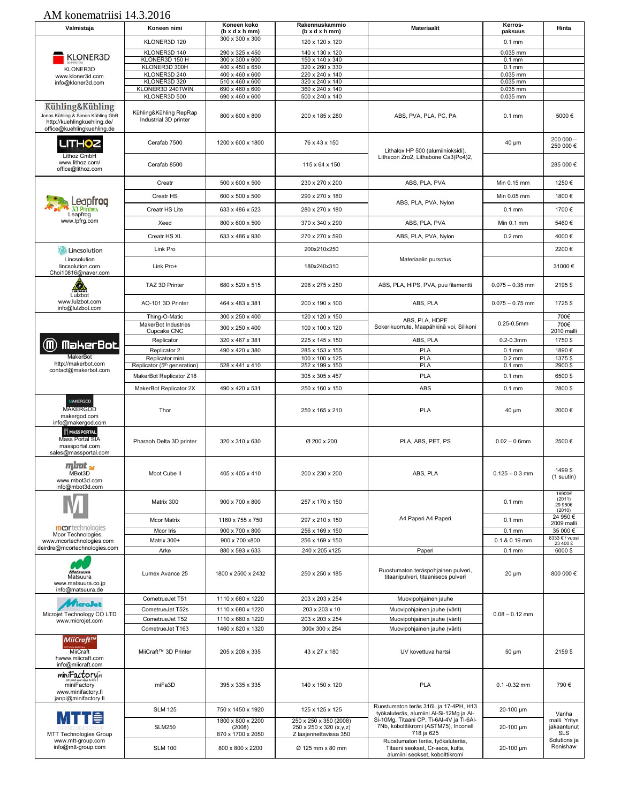| Valmistaja                                                                      | Koneen nimi                                                | Koneen koko<br>$(b \times d \times h \cdot m)$   | Rakennuskammio<br>$(b \times d \times h \cdot m)$                           | <b>Materiaalit</b>                                                                                      | Kerros-<br>paksuus         | Hinta                                                      |
|---------------------------------------------------------------------------------|------------------------------------------------------------|--------------------------------------------------|-----------------------------------------------------------------------------|---------------------------------------------------------------------------------------------------------|----------------------------|------------------------------------------------------------|
|                                                                                 | KLONER3D 120                                               | 300 x 300 x 300                                  | 120 x 120 x 120                                                             |                                                                                                         | $0.1$ mm                   |                                                            |
|                                                                                 | KLONER3D 140                                               | 290 x 325 x 450                                  | 140 x 130 x 120                                                             |                                                                                                         | $0.035$ mm                 |                                                            |
| <b>KLONER3D</b>                                                                 | KLONER3D 150 H                                             | 300 x 300 x 600                                  | 150 x 140 x 340                                                             |                                                                                                         | $0.1$ mm                   |                                                            |
| <b>KLONER3D</b>                                                                 | KLONER3D 300H                                              | 400 x 450 x 650                                  | 320 x 260 x 330                                                             |                                                                                                         | $0.1$ mm                   |                                                            |
| www.kloner3d.com                                                                | KLONER3D 240                                               | 400 x 460 x 600                                  | 220 x 240 x 140                                                             |                                                                                                         | 0.035 mm                   |                                                            |
| info@kloner3d.com                                                               | KLONER3D 320                                               | 510 x 460 x 600                                  | 320 x 240 x 140                                                             |                                                                                                         | 0.035 mm                   |                                                            |
|                                                                                 | KLONER3D 240TWIN                                           | 690 x 460 x 600                                  | 360 x 240 x 140                                                             |                                                                                                         | 0.035 mm                   |                                                            |
| Kühling&Kühling<br>Jonas Kühling & Simon Kühling GbR                            | KLONER3D 500<br>Kühling&Kühling RepRap                     | 690 x 460 x 600<br>800 x 600 x 800               | 500 x 240 x 140<br>200 x 185 x 280                                          | ABS, PVA, PLA, PC, PA                                                                                   | 0.035 mm<br>$0.1$ mm       | 5000€                                                      |
| http://kuehlingkuehling.de/<br>office@kuehlingkuehling.de                       | Industrial 3D printer                                      |                                                  |                                                                             |                                                                                                         |                            | $200000 -$                                                 |
| <b>LITHOZ</b><br>Lithoz GmbH<br>www.lithoz.com/                                 | Cerafab 7500                                               | 1200 x 600 x 1800                                | 76 x 43 x 150                                                               | Lithalox HP 500 (alumiinioksidi),<br>Lithacon Zro2, Lithabone Ca3(Po4)2,                                | 40 µm                      | 250 000€                                                   |
| office@lithoz.com                                                               | Cerafab 8500                                               |                                                  | 115 x 64 x 150                                                              |                                                                                                         |                            | 285 000 €                                                  |
|                                                                                 | Creatr<br>Creatr HS                                        | 500 x 600 x 500<br>600 x 500 x 500               | 230 x 270 x 200<br>290 x 270 x 180                                          | ABS, PLA, PVA                                                                                           | Min 0.15 mm<br>Min 0.05 mm | 1250€<br>1800€                                             |
| eapfroa<br>30 Printers                                                          | Creatr HS Lite                                             | 633 x 486 x 523                                  | 280 x 270 x 180                                                             | ABS, PLA, PVA, Nylon                                                                                    | $0.1$ mm                   | 1700€                                                      |
| Leapfrog<br>www.lpfrg.com                                                       | Xeed                                                       | 800 x 600 x 500                                  | 370 x 340 x 290                                                             | ABS, PLA, PVA                                                                                           | Min $0.1$ mm               | 5460€                                                      |
|                                                                                 | Creatr HS XL                                               | 633 x 486 x 930                                  | 270 x 270 x 590                                                             | ABS, PLA, PVA, Nylon                                                                                    | $0.2 \text{ mm}$           | 4000€                                                      |
| Lincsolution                                                                    | Link Pro                                                   |                                                  | 200x210x250                                                                 |                                                                                                         |                            | 2200€                                                      |
| Lincsolution<br>lincsolution.com<br>Choi10816@naver.com                         | Link Pro+                                                  |                                                  | 180x240x310                                                                 | Materiaalin pursotus                                                                                    |                            | 31000€                                                     |
| Lil 2006<br>Lulzbot                                                             | TAZ 3D Printer                                             | 680 x 520 x 515                                  | 298 x 275 x 250                                                             | ABS, PLA, HIPS, PVA, puu filamentti                                                                     | $0.075 - 0.35$ mm          | 2195\$                                                     |
| www.lulzbot.com<br>info@lulzbot.com                                             | AO-101 3D Printer                                          | 464 x 483 x 381                                  | 200 x 190 x 100                                                             | ABS, PLA                                                                                                | $0.075 - 0.75$ mm          | 1725\$                                                     |
|                                                                                 | Thing-O-Matic<br>MakerBot Industries                       | 300 x 250 x 400                                  | 120 x 120 x 150                                                             | ABS, PLA, HDPE                                                                                          | $0.25 - 0.5$ mm            | 700€<br>700€                                               |
|                                                                                 | Cupcake CNC                                                | 300 x 250 x 400                                  | 100 x 100 x 120                                                             | Sokerikuorrute, Maapähkinä voi, Silikoni                                                                |                            | 2010 malli                                                 |
| (M) MakerBot                                                                    | Replicator                                                 | 320 x 467 x 381                                  | 225 x 145 x 150                                                             | ABS, PLA                                                                                                | $0.2 - 0.3$ mm             | 1750\$                                                     |
| MakerBot                                                                        | Replicator 2                                               | 490 x 420 x 380                                  | 285 x 153 x 155                                                             | PLA                                                                                                     | $0.1$ mm                   | 1890€                                                      |
| http://makerbot.com                                                             | Replicator mini<br>Replicator (5 <sup>th</sup> generation) | 528 x 441 x 410                                  | 100 x 100 x 125<br>252 x 199 x 150                                          | <b>PLA</b><br>PLA                                                                                       | $0.2$ mm<br>$0.1$ mm       | 1375\$<br>2900 \$                                          |
| contact@makerbot.com                                                            |                                                            |                                                  |                                                                             | PLA                                                                                                     |                            |                                                            |
|                                                                                 | MakerBot Replicator Z18<br>MakerBot Replicator 2X          | 490 x 420 x 531                                  | 305 x 305 x 457<br>250 x 160 x 150                                          | ABS                                                                                                     | $0.1$ mm<br>$0.1$ mm       | 6500\$<br>2800\$                                           |
| <b>MAKERGOD</b><br><b>MAKERGOD</b><br>makergod.com<br>info@makergod.com         | Thor                                                       |                                                  | 250 x 165 x 210                                                             | <b>PLA</b>                                                                                              | 40 µm                      | 2000€                                                      |
| <b>MASS PORTAL</b><br>Mass Portal SIA<br>massportal.com<br>sales@massportal.com | Pharaoh Delta 3D printer                                   | 320 x 310 x 630                                  | Ø 200 x 200                                                                 | PLA, ABS, PET, PS                                                                                       | $0.02 - 0.6$ mm            | 2500€                                                      |
| mbot <sub>ad</sub><br>MBot3D<br>www.mbot3d.com<br>info@mbot3d.com               | Mbot Cube II                                               | 405 x 405 x 410                                  | 200 x 230 x 200                                                             | ABS, PLA                                                                                                | $0.125 - 0.3$ mm           | 1499\$<br>(1 suutin)                                       |
|                                                                                 | Matrix 300                                                 | 900 x 700 x 800                                  | 257 x 170 x 150                                                             |                                                                                                         | $0.1$ mm                   | 16900€<br>(2011)<br>29 950€<br>(2010)                      |
| mcor technologies                                                               | <b>Mcor Matrix</b>                                         | 1160 x 755 x 750                                 | 297 x 210 x 150                                                             | A4 Paperi A4 Paperi                                                                                     | $0.1$ mm                   | 24 950 €<br>2009 malli                                     |
| Mcor Technologies.                                                              | <b>Mcor Iris</b>                                           | 900 x 700 x 800                                  | 256 x 169 x 150                                                             |                                                                                                         | $0.1$ mm                   | 35 000 €                                                   |
| www.mcortechnologies.com                                                        | Matrix 300+                                                | 900 x 700 x800                                   | 256 x 169 x 150                                                             |                                                                                                         | 0.1 & 0.19 mm              | 8333 € / vuosi<br>23 400 £                                 |
| deirdre@mcortechnologies.com                                                    | Arke                                                       | 880 x 593 x 633                                  | 240 x 205 x125                                                              | Paperi                                                                                                  | $0.1$ mm                   | 6000\$                                                     |
| Matsuura<br>Matsuura<br>www.matsuura.co.jp<br>info@matsuura.de                  | Lumex Avance 25                                            | 1800 x 2500 x 2432                               | 250 x 250 x 185                                                             | Ruostumaton teräspohjainen pulveri,<br>titaanipulveri, titaaniseos pulveri                              | $20 \mu m$                 | 800 000 €                                                  |
|                                                                                 | CometrueJet T51                                            | 1110 x 680 x 1220                                | 203 x 203 x 254                                                             | Muovipohjainen jauhe                                                                                    |                            |                                                            |
| croJet                                                                          | CometrueJet T52s                                           | 1110 x 680 x 1220                                | 203 x 203 x 10                                                              | Muovipohjainen jauhe (värit)                                                                            |                            |                                                            |
| Microjet Technology CO LTD<br>www.microjet.com                                  | CometrueJet T52                                            | 1110 x 680 x 1220                                | 203 x 203 x 254                                                             | Muovipohjainen jauhe (värit)                                                                            | $0.08 - 0.12$ mm           |                                                            |
|                                                                                 | CometrueJet T163                                           | 1460 x 820 x 1320                                | 300x 300 x 254                                                              | Muovipohjainen jauhe (värit)                                                                            |                            |                                                            |
| MiiCraft™<br>MiiCraft<br>hwww.miicraft.com<br>info@miicraft.com                 | MiiCraft™ 3D Printer                                       | 205 x 208 x 335                                  | 43 x 27 x 180                                                               | UV kovettuva hartsi                                                                                     | $50 \mu m$                 | 2159\$                                                     |
| miniFactory.<br>miniFactory<br>www.minifactory.fi<br>janpi@minifactory.fi       | miFa3D                                                     | 395 x 335 x 335                                  | 140 x 150 x 120                                                             | <b>PLA</b>                                                                                              | $0.1 - 0.32$ mm            | 790€                                                       |
|                                                                                 | <b>SLM 125</b>                                             | 750 x 1450 x 1920                                | 125 x 125 x 125                                                             | Ruostumaton teräs 316L ja 17-4PH, H13<br>työkaluteräs, alumiini Al-Si-12Mg ja Al-                       | 20-100 um                  | Vanha                                                      |
| h∎i⊜<br><b>MTT Technologies Group</b><br>www.mtt-group.com                      | <b>SLM250</b>                                              | 1800 x 800 x 2200<br>(2008)<br>870 x 1700 x 2050 | 250 x 250 x 350 (2008)<br>250 x 250 x 320 (x,y,z)<br>Z laajennettavissa 350 | Si-10Mg, Titaani CP, Ti-6Al-4V ja Ti-6Al-<br>7Nb, kobolttikromi (ASTM75), Inconell<br>718 ja 625        | 20-100 µm                  | malli. Yritys<br>jakaantunut<br><b>SLS</b><br>Solutions ja |
| info@mtt-group.com                                                              | <b>SLM 100</b>                                             | 800 x 800 x 2200                                 | Ø 125 mm x 80 mm                                                            | Ruostumaton teräs, työkaluteräs,<br>Titaani seokset, Cr-seos, kulta,<br>alumiini seokset, kobolttikromi | 20-100 µm                  | Renishaw                                                   |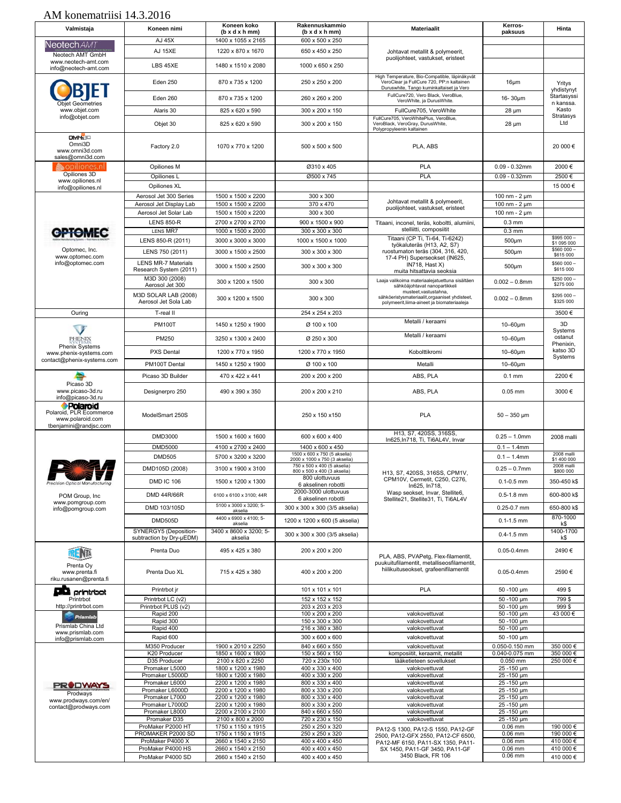| Valmistaja                                                                        | Koneen nimi                                          | Koneen koko<br>$(b \times d \times h \cdot m)$ | Rakennuskammio<br>$(b \times d \times h \cdot m)$            | <b>Materiaalit</b>                                                                                                         | Kerros-<br>paksuus                     | Hinta                               |
|-----------------------------------------------------------------------------------|------------------------------------------------------|------------------------------------------------|--------------------------------------------------------------|----------------------------------------------------------------------------------------------------------------------------|----------------------------------------|-------------------------------------|
| Neotech <i>AM</i> 7                                                               | AJ 45X<br>AJ 15XE                                    | 1400 x 1055 x 2165<br>1220 x 870 x 1670        | 600 x 500 x 250<br>650 x 450 x 250                           | Johtavat metallit & polymeerit,                                                                                            |                                        |                                     |
| Neotech AMT GmbH<br>www.neotech-amt.com                                           | LBS 45XE                                             | 1480 x 1510 x 2080                             | 1000 x 650 x 250                                             | puolijohteet, vastukset, eristeet                                                                                          |                                        |                                     |
| info@neotech-amt.com                                                              | Eden 250                                             | 870 x 735 x 1200                               | 250 x 250 x 200                                              | High Temperature, Bio-Compatible, läpinäkyvät<br>VeroClear ja FullCure 720, PP:n kaltainen                                 | $16 \mu m$                             |                                     |
|                                                                                   |                                                      |                                                |                                                              | Duruswhite, Tango kuminkaltaiset ja Vero<br>FullCure720, Vero Black, VeroBlue,                                             |                                        | Yritys<br>yhdistynyt<br>Startasyssi |
| <b>Objet Geometries</b><br>www.objet.com                                          | Eden 260<br>Alaris 30                                | 870 x 735 x 1200<br>825 x 620 x 590            | 260 x 260 x 200<br>300 x 200 x 150                           | VeroWhite, ja DurusWhite.<br>FullCure705, VeroWhite                                                                        | $16 - 30 \mu m$<br>$28 \mu m$          | n kanssa.<br>Kasto                  |
| info@objet.com                                                                    | Objet 30                                             | 825 x 620 x 590                                | 300 x 200 x 150                                              | FullCure705, VeroWhitePlus, VeroBlue,<br>VeroBlack, VeroGray, DurusWhite,                                                  | $28 \mu m$                             | Stratasys<br>Ltd                    |
| <b>OMNET</b>                                                                      |                                                      |                                                |                                                              | Polypropyleenin kaltainen                                                                                                  |                                        |                                     |
| Omni3D<br>www.omni3d.com<br>sales@omni3d.com                                      | Factory 2.0                                          | 1070 x 770 x 1200                              | 500 x 500 x 500                                              | PLA, ABS                                                                                                                   |                                        | 20 000€                             |
| opiliones.nl<br>Opiliones 3D                                                      | Opiliones M                                          |                                                | Ø310 x 405                                                   | <b>PLA</b>                                                                                                                 | $0.09 - 0.32$ mm                       | 2000€                               |
| www.opiliones.nl<br>info@opiliones.nl                                             | Opiliones L<br>Opiliones XL                          |                                                | Ø500 x 745                                                   | PLA                                                                                                                        | $0.09 - 0.32$ mm                       | 2500€<br>15 000€                    |
|                                                                                   | Aerosol Jet 300 Series                               | 1500 x 1500 x 2200                             | 300 x 300                                                    |                                                                                                                            | 100 nm - 2 µm                          |                                     |
|                                                                                   | Aerosol Jet Display Lab                              | 1500 x 1500 x 2200                             | 370 x 470                                                    | Johtavat metallit & polymeerit,<br>puolijohteet, vastukset, eristeet                                                       | 100 nm - 2 µm                          |                                     |
|                                                                                   | Aerosol Jet Solar Lab<br><b>LENS 850-R</b>           | 1500 x 1500 x 2200<br>2700 x 2700 x 2700       | 300 x 300<br>900 x 1500 x 900                                | Titaani, inconel, teräs, koboltti, alumiini,                                                                               | 100 nm - $2 \mu m$<br>$0.3 \text{ mm}$ |                                     |
| <b>GPTOMEC</b>                                                                    | LENS MR7                                             | 1000 x 1500 x 2000                             | 300 x 300 x 300                                              | stelliitti, composiitit                                                                                                    | $0.3$ mm                               |                                     |
|                                                                                   | LENS 850-R (2011)                                    | 3000 x 3000 x 3000                             | 1000 x 1500 x 1000                                           | Titaani (CP Ti, Ti-64, Ti-6242)                                                                                            | $500 \mu m$                            | \$995 000-<br>\$1 095 000           |
| Optomec, Inc.                                                                     | LENS 750 (2011)                                      | 3000 x 1500 x 2500                             | 300 x 300 x 300                                              | työkaluteräs (H13, A2, S7)<br>ruostumaton teräs (304, 316, 420,                                                            | $500µ$ m                               | \$560 000 -<br>\$615 000            |
| www.optomec.com<br>info@optomec.com                                               | <b>LENS MR-7 Materials</b><br>Research System (2011) | 3000 x 1500 x 2500                             | 300 x 300 x 300                                              | 17-4 PH) Superseokset (IN625,<br>IN718, Hast X)<br>muita hitsattavia seoksia                                               | $500 \mu m$                            | \$560 000 -<br>\$615 000            |
|                                                                                   | M3D 300 (2008)<br>Aerosol Jet 300                    | 300 x 1200 x 1500                              | 300 x 300                                                    | Laaja valikoima materiaalejatuettuna sisältäen<br>sähköäjohtavat nanopartikkeli                                            | $0.002 - 0.8$ mm                       | \$250 000<br>\$275 000              |
|                                                                                   | M3D SOLAR LAB (2008)<br>Aerosol Jet Sola Lab         | 300 x 1200 x 1500                              | 300 x 300                                                    | musteet, vastustahna,<br>sähköeristysmateriaalit, orgaaniset yhdisteet,<br>polymeerit, liima-aineet ja biomateriaaleja     | $0.002 - 0.8$ mm                       | \$295 000 -<br>\$325 000            |
| Ouring                                                                            | T-real II                                            |                                                | 254 x 254 x 203                                              |                                                                                                                            |                                        | 3500€                               |
|                                                                                   | <b>PM100T</b>                                        | 1450 x 1250 x 1900                             | Ø 100 x 100                                                  | Metalli / keraami                                                                                                          | $10-60 \mu m$                          | 3D<br>Systems                       |
| PHENIX<br><b>Phenix Systems</b>                                                   | PM250                                                | 3250 x 1300 x 2400                             | Ø 250 x 300                                                  | Metalli / keraami                                                                                                          | $10-60 \mu m$                          | ostanut<br>Phenixin,                |
| www.phenix-systems.com                                                            | <b>PXS Dental</b>                                    | 1200 x 770 x 1950                              | 1200 x 770 x 1950                                            | Kobolttikromi                                                                                                              | $10-60 \mu m$                          | katso 3D<br>Systems                 |
| contact@phenix-systems.com                                                        | PM100T Dental                                        | 1450 x 1250 x 1900                             | Ø 100 x 100                                                  | Metalli                                                                                                                    | $10-60 \mu m$                          |                                     |
|                                                                                   | Picaso 3D Builder                                    | 470 x 422 x 441                                | 200 x 200 x 200                                              | ABS, PLA                                                                                                                   | $0.1$ mm                               | 2200€                               |
| Picaso 3D<br>www.picaso-3d.ru<br>info@picaso-3d.ru                                | Designerpro 250                                      | 490 x 390 x 350                                | 200 x 200 x 210                                              | ABS, PLA                                                                                                                   | $0.05$ mm                              | 3000€                               |
| Polaroid<br>Polaroid, PLR Ecommerce<br>www.polaroid.com<br>tbenjamini@randjsc.com | ModelSmart 250S                                      |                                                | 250 x 150 x 150                                              | <b>PLA</b>                                                                                                                 | $50 - 350$ µm                          |                                     |
|                                                                                   | DMD3000                                              | 1500 x 1600 x 1600                             | 600 x 600 x 400                                              | H13, S7, 420SS, 316SS,<br>In625, In718, Ti, Ti6AL4V, Invar                                                                 | $0.25 - 1.0$ mm                        | 2008 malli                          |
|                                                                                   | <b>DMD5000</b>                                       | 4100 x 2700 x 2400                             | 1400 x 600 x 450<br>1500 x 600 x 750 (5 akselia)             |                                                                                                                            | $0.1 - 1.4$ mm                         | 2008 malli                          |
|                                                                                   | <b>DMD505</b>                                        | 5700 x 3200 x 3200                             | 2000 x 1000 x 750 (3 akselia)<br>750 x 500 x 400 (5 akselia) |                                                                                                                            | $0.1 - 1.4$ mm                         | \$1 400 000<br>2008 malli           |
|                                                                                   | DMD105D (2008)                                       | 3100 x 1900 x 3100                             | 800 x 500 x 400 (3 akselia)                                  | H13, S7, 420SS, 316SS, CPM1V,                                                                                              | $0.25 - 0.7$ mm                        | \$800 000                           |
| Precision Optical Manufacturing                                                   | <b>DMD IC 106</b>                                    | 1500 x 1200 x 1300                             | 800 ulottuvuus<br>6 akselinen robotti                        | CPM10V, Cermetit, C250, C276,<br>In625, In718,                                                                             | $0.1 - 0.5$ mm                         | 350-450 k\$                         |
| POM Group, Inc.                                                                   | <b>DMD 44R/66R</b>                                   | 6100 x 6100 x 3100; 44R                        | 2000-3000 ulottuvuus<br>6 akselinen robotti                  | Wasp seokset, Invar, Stellite6,<br>Stellite21, Stellite31, Ti, Ti6AL4V                                                     | $0.5 - 1.8$ mm                         | 600-800 k\$                         |
| www.pomgroup.com<br>info@pomgroup.com                                             | DMD 103/105D                                         | 5100 x 3000 x 3200; 5-<br>akselia              | 300 x 300 x 300 (3/5 akselia)                                |                                                                                                                            | $0.25 - 0.7$ mm                        | 650-800 k\$                         |
|                                                                                   | <b>DMD505D</b>                                       | 4400 x 6900 x 4100: 5-<br>akselia              | 1200 x 1200 x 600 (5 akselia)                                |                                                                                                                            | $0.1 - 1.5$ mm                         | 870-1000<br>k\$                     |
|                                                                                   | SYNERGY5 (Deposition-<br>subtraction by Dry-µEDM)    | 3400 x 8600 x 3200; 5-<br>akselia              | 300 x 300 x 300 (3/5 akselia)                                |                                                                                                                            | $0.4 - 1.5$ mm                         | 1400-1700<br>k\$                    |
|                                                                                   | Prenta Duo                                           | 495 x 425 x 380                                | 200 x 200 x 200                                              |                                                                                                                            | $0.05 - 0.4$ mm                        | 2490€                               |
| Prenta Ov<br>www.prenta.fi<br>riku.rusanen@prenta.fi                              | Prenta Duo XL                                        | 715 x 425 x 380                                | 400 x 200 x 200                                              | PLA, ABS, PVAPetg, Flex-filamentit,<br>puukuitufilamentit, metalliseosfilamentit,<br>hiilikuituseokset, grafeenifilamentit | $0.05 - 0.4$ mm                        | 2590€                               |
| printrbot                                                                         | Printrbot jr                                         |                                                | 101 x 101 x 101                                              | PLA                                                                                                                        | 50 -100 µm                             | 499\$                               |
| Printrbot                                                                         | Printrbot LC (v2)                                    |                                                | 152 x 152 x 152                                              |                                                                                                                            | 50 -100 um                             | 799 \$                              |
| http://printrbot.com                                                              | Printrbot PLUS (v2)<br>Rapid 200                     |                                                | 203 x 203 x 203<br>100 x 200 x 200                           | valokovettuvat                                                                                                             | 50 -100 µm<br>50 -100 um               | 999\$<br>43 000€                    |
| Prismlab<br>Prismlab China Ltd                                                    | Rapid 300                                            |                                                | 150 x 300 x 300                                              | valokovettuvat                                                                                                             | 50 -100 µm                             |                                     |
| www.prismlab.com                                                                  | Rapid 400                                            |                                                | 216 x 380 x 380                                              | valokovettuvat                                                                                                             | 50 -100 µm                             |                                     |
| info@prismlab.com                                                                 | Rapid 600                                            |                                                | 300 x 600 x 600                                              | valokovettuvat                                                                                                             | 50 -100 µm                             |                                     |
|                                                                                   | M350 Producer<br>K20 Producer                        | 1900 x 2010 x 2250<br>1850 x 1600 x 1800       | 840 x 660 x 550<br>150 x 560 x 150                           | valokovettuvat<br>komposiitit, keraamit, metallit                                                                          | 0.050-0.150 mm<br>0.040-0.075 mm       | 350 000 €<br>350 000 €              |
|                                                                                   | D35 Producer                                         | 2100 x 820 x 2250                              | 720 x 230x 100                                               | lääketieteen sovellukset                                                                                                   | 0.050 mm                               | 250 000 €                           |
|                                                                                   | Promaker L5000<br>Promaker L5000D                    | 1800 x 1200 x 1980<br>1800 x 1200 x 1980       | 400 x 330 x 400<br>400 x 330 x 200                           | valokovettuvat<br>valokovettuvat                                                                                           | 25-150 µm<br>25 - 150 µm               |                                     |
| PRODWAYS                                                                          | Promaker L6000                                       | 2200 x 1200 x 1980                             | 800 x 330 x 400                                              | valokovettuvat                                                                                                             | 25 - 150 µm                            |                                     |
| Prodways                                                                          | Promaker L6000D<br>Promaker L7000                    | 2200 x 1200 x 1980<br>2200 x 1200 x 1980       | 800 x 330 x 200<br>800 x 330 x 400                           | valokovettuvat<br>valokovettuvat                                                                                           | 25 - 150 µm<br>25 - 150 µm             |                                     |
| www.prodways.com/en/<br>contact@prodways.com                                      | Promaker L7000D                                      | 2200 x 1200 x 1980                             | 800 x 330 x 200                                              | valokovettuvat                                                                                                             | 25-150 µm                              |                                     |
|                                                                                   | Promaker L8000<br>Promaker D35                       | 2200 x 2100 x 2100<br>2100 x 800 x 2000        | 840 x 660 x 550<br>720 x 230 x 150                           | valokovettuvat<br>valokovettuvat                                                                                           | 25 - 150 µm                            |                                     |
|                                                                                   | ProMaker P2000 HT                                    | 1750 x 1150 x 1915                             | 250 x 250 x 320                                              | PA12-S 1300, PA12-S 1550, PA12-GF                                                                                          | 25 - 150 µm<br>$0.06$ mm               | 190 000 €                           |
|                                                                                   | PROMAKER P2000 SD                                    | 1750 x 1150 x 1915                             | 250 x 250 x 320                                              | 2500, PA12-GFX 2550, PA12-CF 6500,                                                                                         | $0.06$ mm                              | 190 000 €                           |
|                                                                                   | ProMaker P4000 X<br>ProMaker P4000 HS                | 2660 x 1540 x 2150<br>2660 x 1540 x 2150       | 400 x 400 x 450<br>400 x 400 x 450                           | PA12-MF 6150, PA11-SX 1350, PA11-<br>SX 1450, PA11-GF 3450, PA11-GF                                                        | $0.06$ mm<br>$0.06$ mm                 | 410 000 €<br>410 000 €              |
|                                                                                   | ProMaker P4000 SD                                    | 2660 x 1540 x 2150                             | 400 x 400 x 450                                              | 3450 Black, FR 106                                                                                                         | $0.06$ mm                              | 410 000 €                           |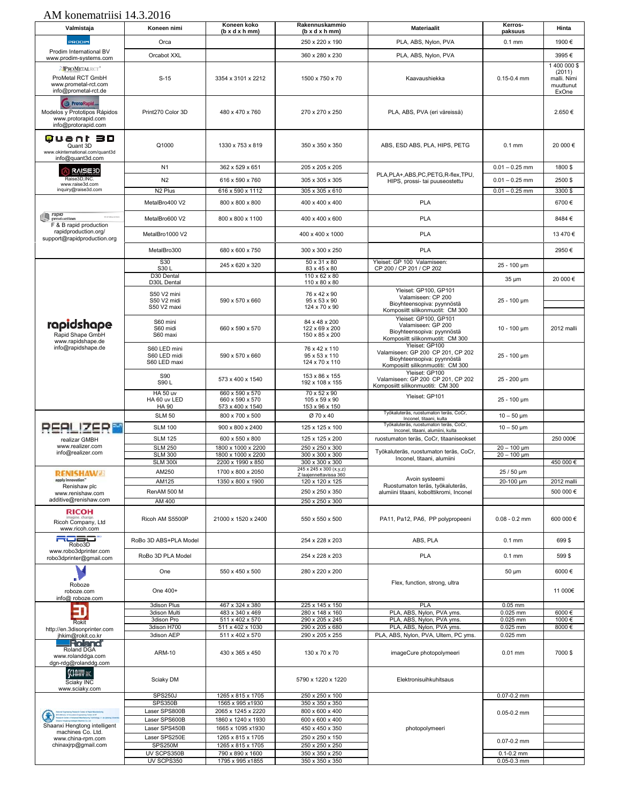| Valmistaja                                                                                          | Koneen nimi                                     | Koneen koko<br>(b x d x h mm)                          | Rakennuskammio<br>$(b \times d \times h \cdot m)$ | <b>Materiaalit</b>                                                                                                     | Kerros-<br>paksuus     | Hinta                                                       |
|-----------------------------------------------------------------------------------------------------|-------------------------------------------------|--------------------------------------------------------|---------------------------------------------------|------------------------------------------------------------------------------------------------------------------------|------------------------|-------------------------------------------------------------|
| PRODIM                                                                                              | Orca                                            |                                                        | 250 x 220 x 190                                   | PLA, ABS, Nylon, PVA                                                                                                   | $0.1$ mm               | 1900€                                                       |
| Prodim International BV                                                                             |                                                 |                                                        |                                                   |                                                                                                                        |                        |                                                             |
| www.prodim-systems.com                                                                              | Orcabot XXL                                     |                                                        | 360 x 280 x 230                                   | PLA, ABS, Nylon, PVA                                                                                                   |                        | 3995€                                                       |
| <b>APROMETALRCT</b> *<br>ProMetal RCT GmbH<br>www.prometal-rct.com<br>info@prometal-rct.de          | $S-15$                                          | 3354 x 3101 x 2212                                     | 1500 x 750 x 70                                   | Kaavaushiekka                                                                                                          | $0.15 - 0.4$ mm        | 1 400 000 \$<br>(2011)<br>malli. Nimi<br>muuttunut<br>ExOne |
| <b>All ProtoRapid.</b><br>Modelos y Prototipos Rápidos<br>www.protorapid.com<br>info@protorapid.com | Print270 Color 3D                               | 480 x 470 x 760                                        | 270 x 270 x 250                                   | PLA, ABS, PVA (eri väreissä)                                                                                           |                        | 2.650€                                                      |
| Quant 3D<br>Quant 3D<br>www.okinternational.com/quant3d<br>info@quant3d.com                         | Q1000                                           | 1330 x 753 x 819                                       | 350 x 350 x 350                                   | ABS, ESD ABS, PLA, HIPS, PETG                                                                                          | $0.1$ mm               | 20 000€                                                     |
| <b>RAISE3D</b>                                                                                      | N <sub>1</sub>                                  | 362 x 529 x 651                                        | 205 x 205 x 205                                   |                                                                                                                        | $0.01 - 0.25$ mm       | 1800\$                                                      |
| Raise3D, INC.                                                                                       | N <sub>2</sub>                                  | 616 x 590 x 760                                        | 305 x 305 x 305                                   | PLA, PLA+, ABS, PC, PETG, R-flex, TPU,<br>HIPS, prossi- tai puuseostettu                                               | $0.01 - 0.25$ mm       | 2500\$                                                      |
| www.raise3d.com<br>inquiry@raise3d.com                                                              | N <sub>2</sub> Plus                             | 616 x 590 x 1112                                       | 305 x 305 x 610                                   |                                                                                                                        | $0.01 - 0.25$ mm       | 3300\$                                                      |
|                                                                                                     | MetalBro400 V2                                  |                                                        |                                                   | <b>PLA</b>                                                                                                             |                        | 6700€                                                       |
|                                                                                                     |                                                 | 800 x 800 x 800                                        | 400 x 400 x 400                                   |                                                                                                                        |                        |                                                             |
| rapid<br>production<br>F & B rapid production                                                       | MetalBro600 V2                                  | 800 x 800 x 1100                                       | 400 x 400 x 600                                   | PLA                                                                                                                    |                        | 8484€                                                       |
| rapidproduction.org/<br>support@rapidproduction.org                                                 | MetalBro1000 V2                                 |                                                        | 400 x 400 x 1000                                  | PLA                                                                                                                    |                        | 13 470 €                                                    |
|                                                                                                     | MetalBro300<br>S30                              | 680 x 600 x 750                                        | 300 x 300 x 250<br>$50 \times 31 \times 80$       | PLA<br>Yleiset: GP 100 Valamiseen:                                                                                     |                        | 2950€                                                       |
|                                                                                                     | S30L                                            | 245 x 620 x 320                                        | 83 x 45 x 80                                      | CP 200 / CP 201 / CP 202                                                                                               | 25 - 100 µm            |                                                             |
|                                                                                                     | D30 Dental<br>D30L Dental                       |                                                        | $110 \times 62 \times 80$<br>110 x 80 x 80        |                                                                                                                        | $35 \mu m$             | 20 000 €                                                    |
|                                                                                                     | S50 V2 mini<br>S50 V2 midi<br>S50 V2 maxi       | 590 x 570 x 660                                        | 76 x 42 x 90<br>95 x 53 x 90<br>124 x 70 x 90     | Yleiset: GP100, GP101<br>Valamiseen: CP 200<br>Bioyhteensopiva: pyynnöstä<br>Komposiitt silikonmuotit: CM 300          | 25 - 100 µm            |                                                             |
| rapidshape<br>Rapid Shape GmbH<br>www.rapidshape.de                                                 | S60 mini<br>S60 midi<br>S60 maxi                | 660 x 590 x 570                                        | 84 x 48 x 200<br>122 x 69 x 200<br>150 x 85 x 200 | Yleiset: GP100, GP101<br>Valamiseen: GP 200<br>Bioyhteensopiva: pyynnöstä<br>Komposiitt silikonmuotit: CM 300          | $10 - 100 \mu m$       | 2012 malli                                                  |
| info@rapidshape.de                                                                                  | S60 LED mini<br>S60 LED midi<br>S60 LED maxi    | 590 x 570 x 660                                        | 76 x 42 x 110<br>95 x 53 x 110<br>124 x 70 x 110  | Yleiset: GP100<br>Valamiseen: GP 200 CP 201, CP 202<br>Bioyhteensopiva: pyynnöstä<br>Komposiitt silikonmuotiti: CM 300 | 25 - 100 um            |                                                             |
|                                                                                                     | S90<br>S90L                                     | 573 x 400 x 1540                                       | 153 x 86 x 155<br>192 x 108 x 155                 | Yleiset: GP100<br>Valamiseen: GP 200 CP 201, CP 202<br>Komposiitt silikonmuotiti: CM 300                               | 25 - 200 µm            |                                                             |
|                                                                                                     | <b>HA 50 uv</b><br>HA 60 uv LED<br><b>HA 90</b> | 660 x 590 x 570<br>660 x 590 x 570<br>573 x 400 x 1540 | 70 x 52 x 90<br>105 x 59 x 90<br>153 x 96 x 150   | Yleiset: GP101                                                                                                         | 25 - 100 um            |                                                             |
|                                                                                                     | <b>SLM 50</b>                                   | 800 x 700 x 500                                        | Ø 70 x 40                                         | Työkaluteräs, ruostumaton teräs, CoCr,<br>Inconel, titaani, kulta                                                      | $10 - 50 \mu m$        |                                                             |
| <b>REALIZER</b>                                                                                     | <b>SLM 100</b>                                  | 900 x 800 x 2400                                       | 125 x 125 x 100                                   | Työkaluteräs, ruostumaton teräs, CoCr,<br>Inconel, titaani, alumiini, kulta                                            | $10 - 50 \mu m$        |                                                             |
| realizar GMBH                                                                                       | <b>SLM 125</b>                                  | 600 x 550 x 800                                        | 125 x 125 x 200                                   | ruostumaton teräs, CoCr, titaaniseokset                                                                                |                        | 250 000€                                                    |
| www.realizer.com                                                                                    | <b>SLM 250</b>                                  | 1800 x 1000 x 2200                                     | 250 x 250 x 300                                   | Työkaluteräs, ruostumaton teräs, CoCr,                                                                                 | $20 - 100$ µm          |                                                             |
| info@realizer.com                                                                                   | <b>SLM 300</b>                                  | 1800 x 1000 x 2200                                     | 300 x 300 x 300                                   | Inconel, titaani, alumiini                                                                                             | $20 - 100$ µm          |                                                             |
|                                                                                                     | <b>SLM 300i</b>                                 | 2200 x 1990 x 850                                      | 300 x 300 x 300<br>245 x 245 x 300 (x,y,z)        |                                                                                                                        |                        | 450 000 €                                                   |
| <b>RENISHAW</b><br>apply innovation'                                                                | AM250                                           | 1700 x 800 x 2050                                      | Z laajennettavissa 360                            | Avoin systeemi                                                                                                         | 25 / 50 µm             |                                                             |
| Renishaw plc                                                                                        | AM125                                           | 1350 x 800 x 1900                                      | 120 x 120 x 125                                   | Ruostumaton teräs, työkaluteräs,                                                                                       | 20-100 µm              | 2012 malli                                                  |
| www.renishaw.com<br>additive@renishaw.com                                                           | RenAM 500 M                                     |                                                        | 250 x 250 x 350                                   | alumiini titaani, kobolttikromi, Inconel                                                                               |                        | 500 000 €                                                   |
| <b>RICOH</b><br>Ricoh Company, Ltd<br>www.ricoh.com                                                 | AM 400<br>Ricoh AM S5500P                       | 21000 x 1520 x 2400                                    | 250 x 250 x 300<br>550 x 550 x 500                | PA11, Pa12, PA6, PP polypropeeni                                                                                       | $0.08 - 0.2$ mm        | 600 000 €                                                   |
| ROZO"<br>Robo3D                                                                                     | RoBo 3D ABS+PLA Model                           |                                                        | 254 x 228 x 203                                   | ABS, PLA                                                                                                               | $0.1$ mm               | 699\$                                                       |
| www.robo3dprinter.com<br>robo3dprinter@gmail.com                                                    | RoBo 3D PLA Model                               |                                                        | 254 x 228 x 203                                   | <b>PLA</b>                                                                                                             | $0.1$ mm               | 599\$                                                       |
|                                                                                                     | One                                             | 550 x 450 x 500                                        | 280 x 220 x 200                                   |                                                                                                                        | $50 \mu m$             | 6000€                                                       |
| Roboze<br>roboze.com<br>info@ roboze.com                                                            | One 400+                                        |                                                        |                                                   | Flex, function, strong, ultra                                                                                          |                        | 11 000€                                                     |
|                                                                                                     | 3dison Plus                                     | 467 x 324 x 380                                        | 225 x 145 x 150                                   | <b>PLA</b>                                                                                                             | $\overline{0.05}$ mm   |                                                             |
| E                                                                                                   | 3dison Multi                                    | 483 x 340 x 469                                        | 280 x 148 x 160                                   | PLA, ABS, Nylon, PVA yms.                                                                                              | 0.025 mm               | 6000€                                                       |
| Rokit<br>http://en.3disonprinter.com                                                                | 3dison Pro<br>3dison H700                       | 511 x 402 x 570<br>511 x 402 x 1030                    | 290 x 205 x 245<br>290 x 205 x 680                | PLA, ABS, Nylon, PVA yms.<br>PLA, ABS, Nylon, PVA yms.                                                                 | 0.025 mm<br>$0.025$ mm | 1000€<br>8000€                                              |
| jhkim@rokit.co.kr                                                                                   | 3dison AEP                                      | 511 x 402 x 570                                        | 290 x 205 x 255                                   | PLA, ABS, Nylon, PVA, Ultem, PC yms.                                                                                   | 0.025 mm               |                                                             |
| <b>Protend</b><br>Roland DGA<br>www.rolanddga.com<br>dgn-rdg@rolanddg.com                           | <b>ARM-10</b>                                   | 430 x 365 x 450                                        | 130 x 70 x 70                                     | imageCure photopolymeeri                                                                                               | $0.01$ mm              | 7000\$                                                      |
| <b>KIAHV</b> IK.<br>Sciaky INC<br>www.sciaky.com                                                    | Sciaky DM                                       |                                                        | 5790 x 1220 x 1220                                | Elektronisuihkuhitsaus                                                                                                 |                        |                                                             |
|                                                                                                     | <b>SPS250J</b>                                  | 1265 x 815 x 1705                                      | 250 x 250 x 100                                   |                                                                                                                        | $0.07 - 0.2$ mm        |                                                             |
|                                                                                                     | <b>SPS350B</b><br>Laser SPS800B                 | 1565 x 995 x 1930<br>2065 x 1245 x 2220                | 350 x 350 x 350<br>800 x 600 x 400                |                                                                                                                        |                        |                                                             |
| $\circledast$                                                                                       | Laser SPS600B                                   | 1860 x 1240 x 1930                                     | 600 x 600 x 400                                   |                                                                                                                        | $0.05 - 0.2$ mm        |                                                             |
| Shaanxi Hengtong intelligent                                                                        | Laser SPS450B                                   | 1665 x 1095 x 1930                                     | 450 x 450 x 350                                   | photopolymeeri                                                                                                         |                        |                                                             |
| machines Co. Ltd.<br>www.china-rpm.com                                                              | Laser SPS250E                                   | 1265 x 815 x 1705                                      | 250 x 250 x 150                                   |                                                                                                                        |                        |                                                             |
| chinaxjrp@gmail.com                                                                                 | SPS250M                                         | 1265 x 815 x 1705                                      | 250 x 250 x 250                                   |                                                                                                                        | $0.07 - 0.2$ mm        |                                                             |
|                                                                                                     | UV SCPS350B                                     | 790 x 890 x 1600                                       | 350 x 350 x 250                                   |                                                                                                                        | $0.1 - 0.2$ mm         |                                                             |
|                                                                                                     | UV SCPS350                                      | 1795 x 995 x 1855                                      | 350 x 350 x 350                                   |                                                                                                                        | 0.05-0.3 mm            |                                                             |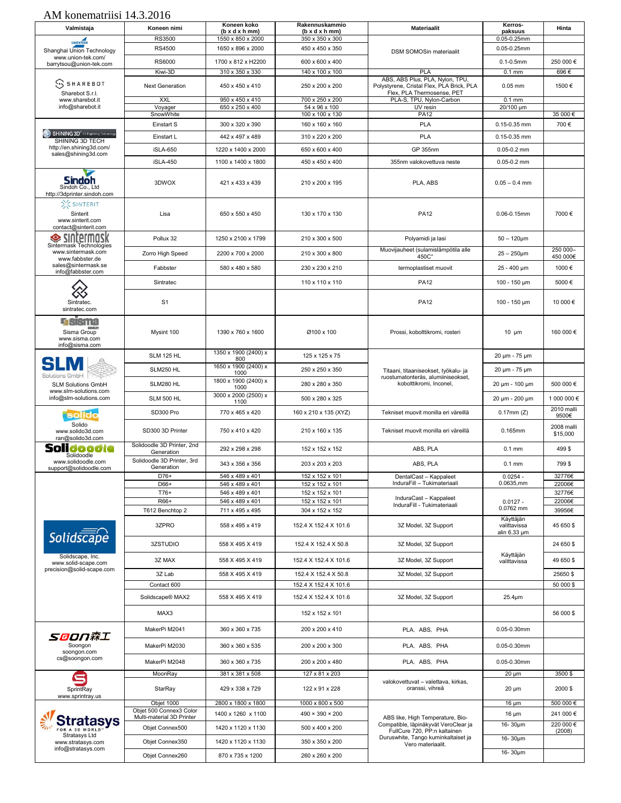| Valmistaja                                                         | Koneen nimi                              | Koneen koko<br>$(b \times d \times h \cdot m)$ | Rakennuskammio<br>$(b \times d \times h \cdot m)$ | Materiaalit                                                                  | Kerros-<br>paksuus                | Hinta                  |
|--------------------------------------------------------------------|------------------------------------------|------------------------------------------------|---------------------------------------------------|------------------------------------------------------------------------------|-----------------------------------|------------------------|
| <b>UNIONTECH</b>                                                   | <b>RS3500</b>                            | 1550 x 850 x 2000                              | 350 x 350 x 300                                   |                                                                              | 0.05-0.25mm                       |                        |
| Shanghai Union Technology                                          | <b>RS4500</b>                            | 1650 x 896 x 2000                              | 450 x 450 x 350                                   | DSM SOMOSin materiaalit                                                      | $0.05 - 0.25$ mm                  |                        |
| www.union-tek.com/<br>barrytsou@union-tek.com                      | <b>RS6000</b>                            | 1700 x 812 x H2200                             | 600 x 600 x 400                                   |                                                                              | $0.1 - 0.5$ mm                    | 250 000 €              |
|                                                                    | Kiwi-3D                                  | 310 x 350 x 330                                | 140 x 100 x 100                                   | PLA                                                                          | $0.1$ mm                          | 696€                   |
| $\mathbb S$ sharebot                                               | <b>Next Generation</b>                   | 450 x 450 x 410                                | 250 x 200 x 200                                   | ABS, ABS Plus, PLA, Nylon, TPU.<br>Polystyrene, Cristal Flex, PLA Brick, PLA | $0.05$ mm                         | 1500€                  |
| Sharebot S.r.l.<br>www.sharebot.it                                 | XXL                                      | 950 x 450 x 410                                | 700 x 250 x 200                                   | Flex, PLA Thermosense, PET<br>PLA-S, TPU, Nylon-Carbon                       | $0.1$ <sub>mm</sub>               |                        |
| info@sharebot.it                                                   | Voyager                                  | 650 x 250 x 400                                | 54 x 96 x 100                                     | UV resin                                                                     | $20/100 \mu m$                    |                        |
|                                                                    | SnowWhite                                |                                                | 100 x 100 x 130                                   | <b>PA12</b>                                                                  |                                   | 35 000€                |
| SHINING 3D <sup>®</sup> 3D Digitizing Technology                   | Einstart S                               | 300 x 320 x 390                                | 160 x 160 x 160                                   | PLA                                                                          | 0.15-0.35 mm                      | 700€                   |
| SHINING 3D TECH                                                    | Einstart L                               | 442 x 497 x 489                                | 310 x 220 x 200                                   | PLA                                                                          | 0.15-0.35 mm                      |                        |
| http://en.shining3d.com/<br>sales@shining3d.com                    | <b>iSLA-650</b>                          | 1220 x 1400 x 2000                             | 650 x 600 x 400                                   | GP 355nm                                                                     | $0.05 - 0.2$ mm                   |                        |
|                                                                    | iSLA-450                                 | 1100 x 1400 x 1800                             | 450 x 450 x 400                                   | 355nm valokovettuva neste                                                    | $0.05 - 0.2$ mm                   |                        |
| Sindóh<br>Sindoh Co., Ltd<br>http://3dprinter.sindoh.com           | 3DWOX                                    | 421 x 433 x 439                                | 210 x 200 x 195                                   | PLA, ABS                                                                     | $0.05 - 0.4$ mm                   |                        |
| X SINTERIT<br>Sinterit<br>www.sinterit.com<br>contact@sinterit.com | Lisa                                     | 650 x 550 x 450                                | 130 x 170 x 130                                   | <b>PA12</b>                                                                  | $0.06 - 0.15$ mm                  | 7000€                  |
| termask<br>❤                                                       | Pollux 32                                | 1250 x 2100 x 1799                             | 210 x 300 x 500                                   | Polyamidi ja lasi                                                            | $50 - 120 \mu m$                  |                        |
| Sintermask Technologies<br>www.sintermask.com                      | Zorro High Speed                         | 2200 x 700 x 2000                              | 210 x 300 x 800                                   | Muovijauheet (sulamislämpötila alle                                          | $25 - 250 \mu m$                  | 250 000-               |
| www.fabbster.de<br>sales@sintermask.se<br>info@fabbster.com        | Fabbster                                 | 580 x 480 x 580                                | 230 x 230 x 210                                   | 450C <sup>°</sup><br>termoplastiset muovit                                   | 25 - 400 µm                       | 450 000€<br>1000€      |
|                                                                    | Sintratec                                |                                                | 110 x 110 x 110                                   | <b>PA12</b>                                                                  | $100 - 150 \mu m$                 | 5000€                  |
| Sintratec.<br>sintratec.com                                        | S <sub>1</sub>                           |                                                |                                                   | <b>PA12</b>                                                                  | $100 - 150 \mu m$                 | 10 000 €               |
| <b>GSSTE</b><br>Sisma Group<br>www.sisma.com<br>info@sisma.com     | Mysint 100                               | 1390 x 760 x 1600                              | Ø100 x 100                                        | Prossi, kobolttikromi, rosteri                                               | $10 \mu m$                        | 160 000 €              |
|                                                                    | <b>SLM 125 HL</b>                        | 1350 x 1900 (2400) x<br>800                    | 125 x 125 x 75                                    |                                                                              | 20 µm - 75 µm                     |                        |
|                                                                    | SLM250 HL                                | 1650 x 1900 (2400) x<br>1000                   | 250 x 250 x 350                                   | Titaani, titaaniseokset, työkalu- ja                                         | 20 µm - 75 µm                     |                        |
| <b>Solutions GmbH</b><br><b>SLM Solutions GmbH</b>                 | SLM280 HL                                | 1800 x 1900 (2400) x<br>1000                   | 280 x 280 x 350                                   | ruostumatonteräs, alumiiniseokset,<br>kobolttikromi, Inconel,                | 20 µm - 100 µm                    | 500 000€               |
| www.slm-solutions.com<br>info@slm-solutions.com                    | <b>SLM 500 HL</b>                        | 3000 x 2000 (2500) x                           | 500 x 280 x 325                                   |                                                                              | 20 µm - 200 µm                    | 1 000 000 €            |
|                                                                    |                                          | 1100                                           |                                                   |                                                                              |                                   | 2010 malli             |
| solido                                                             | SD300 Pro                                | 770 x 465 x 420                                | 160 x 210 x 135 (XYZ)                             | Tekniset muovit monilla eri väreillä                                         | $0.17$ mm $(Z)$                   | 9500€                  |
| Solido<br>www.solido3d.com<br>ran@solido3d.com                     | SD300 3D Printer                         | 750 x 410 x 420                                | 210 x 160 x 135                                   | Tekniset muovit monilla eri väreillä                                         | 0.165mm                           | 2008 malli<br>\$15,000 |
| Sol<br>Solidoodle                                                  | Solidoodle 3D Printer, 2nd<br>Generation | 292 x 298 x 298                                | 152 x 152 x 152                                   | ABS, PLA                                                                     | $0.1$ mm                          | 499\$                  |
| www.solidoodle.com<br>support@solidoodle.com                       | Solidoodle 3D Printer, 3rd<br>Generation | 343 x 356 x 356                                | 203 x 203 x 203                                   | ABS, PLA                                                                     | $0.1$ mm                          | 799\$                  |
|                                                                    | $D76+$                                   | 546 x 489 x 401                                | 152 x 152 x 101                                   | DentalCast - Kappaleet                                                       | 0.0254                            | 32776€                 |
|                                                                    | D66+                                     | 546 x 489 x 401                                | 152 x 152 x 101                                   | InduraFill - Tukimateriaali                                                  | 0.0635, mm                        | 22006€                 |
|                                                                    | T76+<br>R66+                             | 546 x 489 x 401<br>546 x 489 x 401             | 152 x 152 x 101<br>152 x 152 x 101                | InduraCast - Kappaleet                                                       |                                   | 32776€<br>22006€       |
|                                                                    | T612 Benchtop 2                          | 711 x 495 x 495                                | 304 x 152 x 152                                   | InduraFill - Tukimateriaali                                                  | $0.0127 -$<br>0.0762 mm           | 39956€                 |
|                                                                    | 3ZPRO                                    |                                                |                                                   |                                                                              | Käyttäjän                         |                        |
| $Solids\overline{\overline{cap}}$ e                                |                                          | 558 x 495 x 419                                | 152.4 X 152.4 X 101.6                             | 3Z Model, 3Z Support                                                         | valittavissa<br>alin $6.33 \mu m$ | 45 650 \$              |
| Solidscape, Inc.                                                   | 3ZSTUDIO                                 | 558 X 495 X 419                                | 152.4 X 152.4 X 50.8                              | 3Z Model, 3Z Support                                                         | Käyttäjän                         | 24 650 \$              |
| www.solid-scape.com<br>precision@solid-scape.com                   | 3Z MAX                                   | 558 X 495 X 419                                | 152.4 X 152.4 X 101.6                             | 3Z Model, 3Z Support                                                         | valittavissa                      | 49 650 \$              |
|                                                                    | 3Z Lab                                   | 558 X 495 X 419                                | 152.4 X 152.4 X 50.8                              | 3Z Model, 3Z Support                                                         |                                   | 25650\$<br>50 000 \$   |
|                                                                    | Contact 600                              |                                                | 152.4 X 152.4 X 101.6                             |                                                                              |                                   |                        |
|                                                                    | Solidscape® MAX2                         | 558 X 495 X 419                                | 152.4 X 152.4 X 101.6                             | 3Z Model, 3Z Support                                                         | $25.4 \mu m$                      |                        |
|                                                                    | MAX3                                     |                                                | 152 x 152 x 101                                   |                                                                              |                                   | 56 000 \$              |
| SOON森工                                                             | MakerPi M2041                            | 360 x 360 x 735                                | 200 x 200 x 410                                   | PLA, ABS, PHA                                                                | 0.05-0.30mm                       |                        |
| Soongon<br>soongon.com                                             | MakerPi M2030                            | 360 x 360 x 535                                | 200 x 200 x 300                                   | PLA, ABS, PHA                                                                | 0.05-0.30mm                       |                        |
| cs@soongon.com                                                     | MakerPi M2048                            | 360 x 360 x 735                                | 200 x 200 x 480                                   | PLA, ABS, PHA                                                                | 0.05-0.30mm                       |                        |
|                                                                    | MoonRay                                  | 381 x 381 x 508                                | 127 x 81 x 203                                    | valokovettuvat - valettava, kirkas,                                          | $20 \mu m$                        | 3500\$                 |
| SprintRay<br>www.sprintray.us                                      | StarRay                                  | 429 x 338 x 729                                | 122 x 91 x 228                                    | oranssi, vihreä                                                              | $20 \mu m$                        | 2000\$                 |
|                                                                    | Objet 1000<br>Objet 500 Connex3 Color    | 2800 x 1800 x 1800                             | 1000 x 800 x 500                                  |                                                                              | 16 $\mu$ m                        | 500 000€               |
| Stratasys                                                          | Multi-material 3D Printer                | 1400 x 1260 x 1100                             | $490 \times 390 \times 200$                       | ABS like, High Temperature, Bio-                                             | $16 \mu m$                        | 241 000 €              |
| FOR A 3D WORLD'                                                    | Objet Connex500                          | 1420 x 1120 x 1130                             | 500 x 400 x 200                                   | Compatible, läpinäkyvät VeroClear ja<br>FullCure 720, PP:n kaltainen         | 16-30µm                           | 220 000 €<br>(2008)    |
| Stratasys Ltd<br>www.stratasys.com                                 | Objet Connex350                          | 1420 x 1120 x 1130                             | 350 x 350 x 200                                   | Duruswhite, Tango kuminkaltaiset ja<br>Vero materiaalit.                     | 16-30µm                           |                        |
| info@stratasys.com                                                 | Objet Connex260                          | 870 x 735 x 1200                               | 260 x 260 x 200                                   |                                                                              | 16-30µm                           |                        |
|                                                                    |                                          |                                                |                                                   |                                                                              |                                   |                        |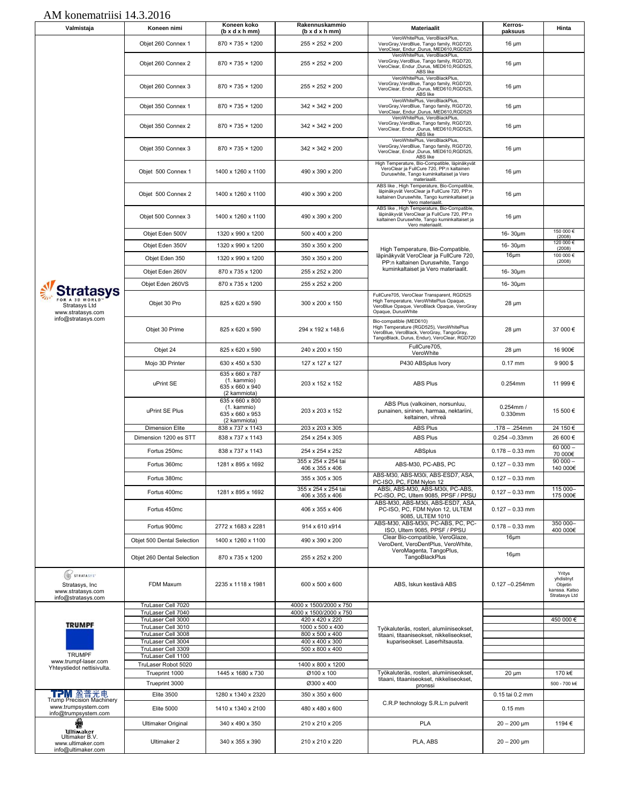| Valmistaja                                                               | Koneen nimi                              | Koneen koko<br>(b x d x h mm)                                     | Rakennuskammio<br>$(b \times d \times h \cdot m)$ | <b>Materiaalit</b>                                                                                                                                               | Kerros-<br>paksuus            | Hinta                                                            |
|--------------------------------------------------------------------------|------------------------------------------|-------------------------------------------------------------------|---------------------------------------------------|------------------------------------------------------------------------------------------------------------------------------------------------------------------|-------------------------------|------------------------------------------------------------------|
|                                                                          | Objet 260 Connex 1                       | 870 × 735 × 1200                                                  | $255 \times 252 \times 200$                       | VeroWhitePlus, VeroBlackPlus,<br>VeroGray, VeroBlue, Tango family, RGD720,<br>VeroClear, Endur ,Durus, MED610,RGD525                                             | 16 $\mu$ m                    |                                                                  |
|                                                                          | Objet 260 Connex 2                       | $870 \times 735 \times 1200$                                      | $255 \times 252 \times 200$                       | VeroWhitePlus, VeroBlackPlus,<br>VeroGray, VeroBlue, Tango family, RGD720,<br>VeroClear, Endur , Durus, MED610, RGD525,<br>ABS like                              | 16 $\mu$ m                    |                                                                  |
|                                                                          | Objet 260 Connex 3                       | 870 × 735 × 1200                                                  | $255 \times 252 \times 200$                       | VeroWhitePlus, VeroBlackPlus,<br>VeroGray, VeroBlue, Tango family, RGD720,<br>VeroClear, Endur ,Durus, MED610,RGD525,<br>ABS like                                | 16 $\mu$ m                    |                                                                  |
|                                                                          | Objet 350 Connex 1                       | $870 \times 735 \times 1200$                                      | $342 \times 342 \times 200$                       | VeroWhitePlus, VeroBlackPlus,<br>VeroGray, VeroBlue, Tango family, RGD720,<br>VeroClear, Endur ,Durus, MED610,RGD525                                             | 16 $\mu$ m                    |                                                                  |
|                                                                          | Objet 350 Connex 2                       | $870 \times 735 \times 1200$                                      | $342 \times 342 \times 200$                       | VeroWhitePlus, VeroBlackPlus,<br>VeroGray, VeroBlue, Tango family, RGD720,<br>VeroClear, Endur ,Durus, MED610,RGD525,<br>ABS like                                | 16 $\mu$ m                    |                                                                  |
|                                                                          | Objet 350 Connex 3                       | $870 \times 735 \times 1200$                                      | $342 \times 342 \times 200$                       | VeroWhitePlus, VeroBlackPlus,<br>VeroGray, VeroBlue, Tango family, RGD720,<br>VeroClear, Endur ,Durus, MED610,RGD525,<br>ABS like                                | 16 $\mu$ m                    |                                                                  |
|                                                                          | Objet 500 Connex 1                       | 1400 x 1260 x 1100                                                | 490 x 390 x 200                                   | High Temperature, Bio-Compatible, läpinäkyvät<br>VeroClear ja FullCure 720, PP:n kaltainen<br>Duruswhite, Tango kuminkaltaiset ja Vero<br>materiaalit.           | 16 $\mu$ m                    |                                                                  |
|                                                                          | Objet 500 Connex 2                       | 1400 x 1260 x 1100                                                | 490 x 390 x 200                                   | ABS like, High Temperature, Bio-Compatible,<br>läpinäkyvät VeroClear ja FullCure 720, PP:n<br>kaltainen Duruswhite, Tango kuminkaltaiset ja<br>Vero materiaalit. | 16 $\mu$ m                    |                                                                  |
|                                                                          | Objet 500 Connex 3                       | 1400 x 1260 x 1100                                                | 490 x 390 x 200                                   | ABS like, High Temperature, Bio-Compatible,<br>läpinäkyvät VeroClear ja FullCure 720, PP:n<br>kaltainen Duruswhite, Tango kuminkaltaiset ja<br>Vero materiaalit. | $16 \mu m$                    |                                                                  |
|                                                                          | Objet Eden 500V                          | 1320 x 990 x 1200                                                 | 500 x 400 x 200                                   |                                                                                                                                                                  | $16 - 30 \mu m$               | 150 000 €<br>(2008)                                              |
|                                                                          | Objet Eden 350V                          | 1320 x 990 x 1200                                                 | 350 x 350 x 200                                   | High Temperature, Bio-Compatible,                                                                                                                                | 16-30µm                       | 120 000 €<br>(2008)                                              |
|                                                                          | Objet Eden 350                           | 1320 x 990 x 1200                                                 | 350 x 350 x 200                                   | läpinäkyvät VeroClear ja FullCure 720,<br>PP:n kaltainen Duruswhite, Tango                                                                                       | $16 \mu m$                    | 100 000 €<br>(2008)                                              |
|                                                                          | Objet Eden 260V                          | 870 x 735 x 1200                                                  | 255 x 252 x 200                                   | kuminkaltaiset ja Vero materiaalit.                                                                                                                              | 16-30µm                       |                                                                  |
|                                                                          | Objet Eden 260VS                         | 870 x 735 x 1200                                                  | 255 x 252 x 200                                   |                                                                                                                                                                  | 16-30um                       |                                                                  |
| Stratasys                                                                |                                          |                                                                   |                                                   | FullCure705, VeroClear Transparent, RGD525                                                                                                                       |                               |                                                                  |
| FOR A 3D WORLD<br>Stratasys Ltd<br>www.stratasys.com                     | Objet 30 Pro                             | 825 x 620 x 590                                                   | 300 x 200 x 150                                   | High Temperature, VeroWhitePlus Opaque,<br>VeroBlue Opaque, VeroBlack Opaque, VeroGray<br>Opaque, DurusWhite                                                     | 28 µm                         |                                                                  |
| info@stratasys.com                                                       | Objet 30 Prime                           | 825 x 620 x 590                                                   | 294 x 192 x 148.6                                 | Bio-compatible (MED610)<br>High Temperature (RGD525), VeroWhitePlus<br>VeroBlue, VeroBlack, VeroGray, TangoGray,<br>TangoBlack, Durus, Endur), VeroClear, RGD720 | 28 µm                         | 37 000€                                                          |
|                                                                          | Objet 24                                 | 825 x 620 x 590                                                   | 240 x 200 x 150                                   | FullCure705,<br>VeroWhite                                                                                                                                        | 28 µm                         | 16 900€                                                          |
|                                                                          | Mojo 3D Printer                          | 630 x 450 x 530                                                   | 127 x 127 x 127                                   | P430 ABSplus Ivory                                                                                                                                               | $0.17$ mm                     | 9 900 \$                                                         |
|                                                                          | uPrint SE                                | 635 x 660 x 787<br>(1. kammio)<br>635 x 660 x 940<br>(2 kammiota) | 203 x 152 x 152                                   | <b>ABS Plus</b>                                                                                                                                                  | 0.254mm                       | 11 999€                                                          |
|                                                                          | uPrint SE Plus                           | 635 x 660 x 800<br>(1. kammio)<br>635 x 660 x 953<br>(2 kammiota) | 203 x 203 x 152                                   | ABS Plus (valkoinen, norsunluu,<br>punainen, sininen, harmaa, nektariini,<br>keltainen, vihreä                                                                   | $0.254$ mm /<br>0.330mm       | 15 500 €                                                         |
|                                                                          | <b>Dimension Elite</b>                   | 838 x 737 x 1143                                                  | 203 x 203 x 305                                   | <b>ABS Plus</b>                                                                                                                                                  | 178 - .254mm                  | 24 150 €                                                         |
|                                                                          | Dimension 1200 es STT                    | 838 x 737 x 1143                                                  | 254 x 254 x 305                                   | <b>ABS Plus</b>                                                                                                                                                  | $0.254 - 0.33$ mm             | 26 600€                                                          |
|                                                                          | Fortus 250mc                             | 838 x 737 x 1143                                                  | 254 x 254 x 252                                   | <b>ABSplus</b>                                                                                                                                                   | $0.178 - 0.33$ mm             | $60000 -$<br>70 000€                                             |
|                                                                          | Fortus 360mc                             | 1281 x 895 x 1692                                                 | 355 x 254 x 254 tai                               | ABS-M30, PC-ABS, PC                                                                                                                                              | $0.127 - 0.33$ mm             | $90000 -$<br>140 000€                                            |
|                                                                          | Fortus 380mc                             |                                                                   | 406 x 355 x 406<br>355 x 305 x 305                | ABS-M30, ABS-M30i, ABS-ESD7, ASA.                                                                                                                                | $0.127 - 0.33$ mm             |                                                                  |
|                                                                          |                                          |                                                                   | 355 x 254 x 254 tai                               | PC-ISO, PC, FDM Nylon 12<br>ABSi, ABS-M30, ABS-M30i, PC-ABS                                                                                                      |                               | 115 000-                                                         |
|                                                                          | Fortus 400mc                             | 1281 x 895 x 1692                                                 | 406 x 355 x 406                                   | PC-ISO, PC, Ultem 9085, PPSF / PPSU                                                                                                                              | $0.127 - 0.33$ mm             | 175 000€                                                         |
|                                                                          | Fortus 450mc                             |                                                                   | 406 x 355 x 406                                   | ABS-M30, ABS-M30i, ABS-ESD7, ASA,<br>PC-ISO, PC, FDM Nylon 12, ULTEM<br>9085, ULTEM 1010<br>ABS-M30, ABS-M30i, PC-ABS, PC, PC-                                   | $0.127 - 0.33$ mm             | 350 000-                                                         |
|                                                                          | Fortus 900mc                             | 2772 x 1683 x 2281                                                | 914 x 610 x 914                                   | ISO, Ultem 9085, PPSF / PPSU                                                                                                                                     | $0.178 - 0.33$ mm             | 400 000€                                                         |
|                                                                          | Objet 500 Dental Selection               | 1400 x 1260 x 1100                                                | 490 x 390 x 200                                   | Clear Bio-compatible, VeroGlaze,<br>VeroDent, VeroDentPlus, VeroWhite,                                                                                           | $16 \mu m$                    |                                                                  |
|                                                                          | Objet 260 Dental Selection               | 870 x 735 x 1200                                                  | 255 x 252 x 200                                   | VeroMagenta, TangoPlus,<br>TangoBlackPlus                                                                                                                        | $16 \mu m$                    |                                                                  |
| STRATASYS'<br>Stratasys, Inc.<br>www.stratasvs.com<br>info@stratasys.com | FDM Maxum                                | 2235 x 1118 x 1981                                                | 600 x 500 x 600                                   | ABS, Iskun kestävä ABS                                                                                                                                           | $0.127 - 0.254$ mm            | Yritys<br>yhdistnyt<br>Objetin<br>kanssa. Katso<br>Stratasys Ltd |
|                                                                          | TruLaser Cell 7020                       |                                                                   | 4000 x 1500/2000 x 750                            |                                                                                                                                                                  |                               |                                                                  |
|                                                                          | TruLaser Cell 7040<br>TruLaser Cell 3000 |                                                                   | 4000 x 1500/2000 x 750<br>420 x 420 x 220         |                                                                                                                                                                  |                               | 450 000€                                                         |
| <b>TRUMPF</b>                                                            | TruLaser Cell 3010                       |                                                                   | 1000 x 500 x 400                                  | Työkaluteräs, rosteri, alumiiniseokset,                                                                                                                          |                               |                                                                  |
|                                                                          | TruLaser Cell 3008<br>TruLaser Cell 3004 |                                                                   | 800 x 500 x 400<br>400 x 400 x 300                | titaani, titaaniseokset, nikkeliseokset,<br>kupariseokset. Laserhitsausta.                                                                                       |                               |                                                                  |
|                                                                          | TruLaser Cell 3309                       |                                                                   | 500 x 800 x 400                                   |                                                                                                                                                                  |                               |                                                                  |
| <b>TRUMPF</b><br>www.trumpf-laser.com                                    | TruLaser Cell 1100                       |                                                                   |                                                   |                                                                                                                                                                  |                               |                                                                  |
| Yhteystiedot nettisivulta.                                               | TruLaser Robot 5020<br>Trueprint 1000    | 1445 x 1680 x 730                                                 | 1400 x 800 x 1200<br>Ø100 x 100                   | Työkaluteräs, rosteri, alumiiniseokset,                                                                                                                          | 20 µm                         | 170 k€                                                           |
|                                                                          | Trueprint 3000                           |                                                                   | Ø300 x 400                                        | titaani, titaaniseokset, nikkeliseokset,                                                                                                                         |                               | 500 - 700 k€                                                     |
| TPM 盈普光电                                                                 | <b>Elite 3500</b>                        | 1280 x 1340 x 2320                                                | 350 x 350 x 600                                   | pronssi                                                                                                                                                          | 0.15 tai 0.2 mm               |                                                                  |
| Trump Precision Machinery                                                |                                          |                                                                   |                                                   | C.R.P technology S.R.L:n pulverit                                                                                                                                |                               |                                                                  |
| www.trumpsystem.com<br>info@trumpsystem.com<br>侧                         | <b>Elite 5000</b><br>Ultimaker Original  | 1410 x 1340 x 2100<br>340 x 490 x 350                             | 480 x 480 x 600<br>210 x 210 x 205                | <b>PLA</b>                                                                                                                                                       | $0.15$ mm<br>$20 - 200 \mu m$ | 1194€                                                            |
| <b>Ultimaker</b>                                                         |                                          |                                                                   |                                                   |                                                                                                                                                                  |                               |                                                                  |
| Ultimaker B.V.<br>www.ultimaker.com<br>info@ultimaker.com                | Ultimaker 2                              | 340 x 355 x 390                                                   | 210 x 210 x 220                                   | PLA, ABS                                                                                                                                                         | $20 - 200$ µm                 |                                                                  |